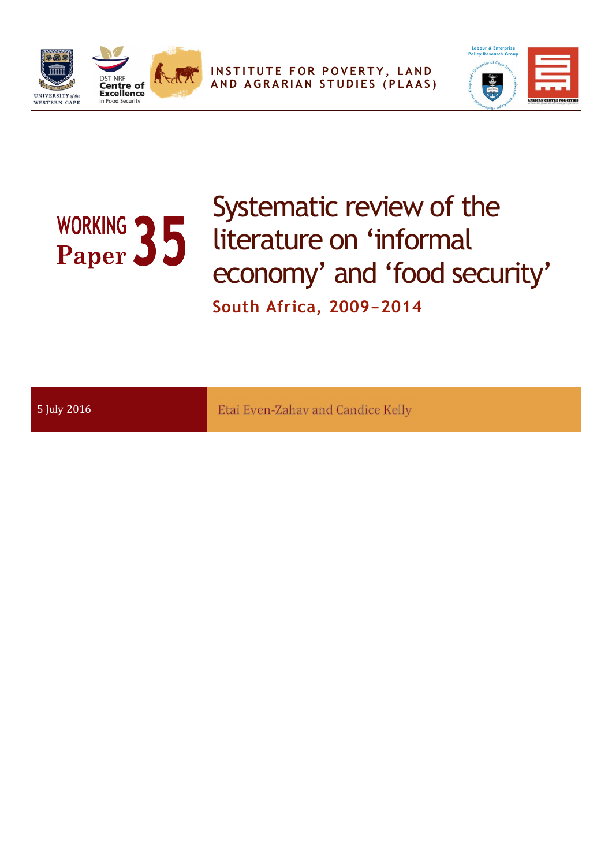

**INSTITUTE FOR POVERTY, LAND A N D A G R A R I A N S T U D I E S ( P L A A S )**



# Systematic review of the WORKING 35<br>Paper 35 literature on 'informal economy' and 'food security' **South Africa, 2009-2014**

| Etai Even-Zahav and Candice Kelly<br>5 July 2016 |
|--------------------------------------------------|
|--------------------------------------------------|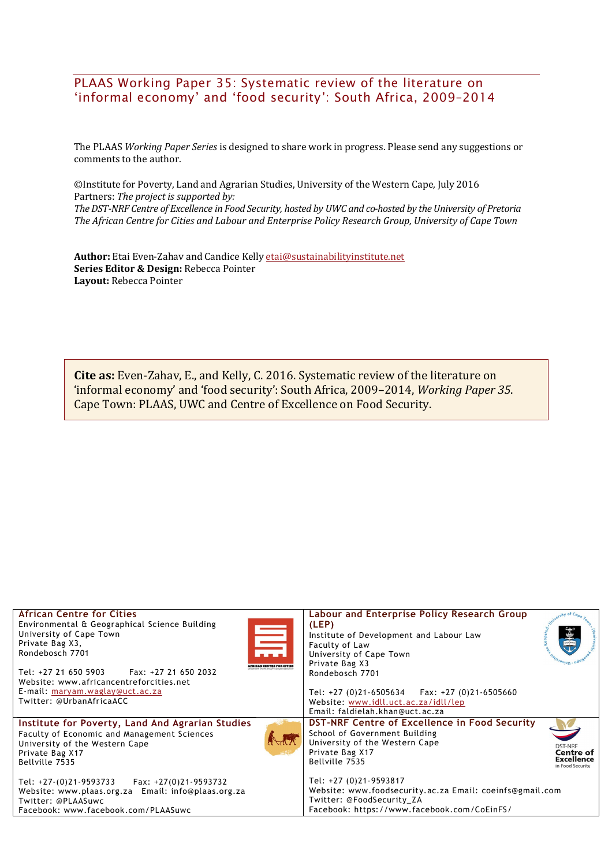#### PLAAS Working Paper 35: Systematic review of the literature on 'informal economy' and 'food security': South Africa, 2009–2014

The PLAAS *Working Paper Series* is designed to share work in progress. Please send any suggestions or comments to the author.

©Institute for Poverty, Land and Agrarian Studies, University of the Western Cape, July 2016 Partners: *The project is supported by: TheDST-NRF Centre of Excellence in Food Security, hosted by UWC and co-hosted by the University of Pretoria The African Centre for Cities and Labour and Enterprise Policy Research Group, University of Cape Town*

**Author:** Etai Even-Zahav and Candice Kelly etai@sustainabilityinstitute.net **Series Editor & Design:** Rebecca Pointer **Layout:** Rebecca Pointer

**Cite as:** Even-Zahav, E., and Kelly, C. 2016. Systematic review of the literature on 'informal economy' and 'food security': South Africa, 2009–2014, *Working Paper 35*. Cape Town: PLAAS, UWC and Centre of Excellence on Food Security.

| <b>African Centre for Cities</b><br>Environmental & Geographical Science Building<br>訓<br>University of Cape Town<br>Private Bag X3,<br>Rondebosch 7701<br><b>AFRICAN CENTRE FOR CITIES</b><br>Fax: +27 21 650 2032<br>Tel: +27 21 650 5903<br>Website: www.africancentreforcities.net<br>E-mail: maryam.waglay@uct.ac.za<br>Twitter: @UrbanAfricaACC | Labour and Enterprise Policy Research Group<br>city of Can<br>(LEP)<br>Institute of Development and Labour Law<br>Faculty of Law<br>University of Cape Town<br>Private Bag X3<br>Rondebosch 7701<br>Tel: $+27$ (0)21-6505634 Fax: $+27$ (0)21-6505660<br>Website: www.idll.uct.ac.za/idll/lep<br>Email: faldielah.khan@uct.ac.za                                                                |
|-------------------------------------------------------------------------------------------------------------------------------------------------------------------------------------------------------------------------------------------------------------------------------------------------------------------------------------------------------|-------------------------------------------------------------------------------------------------------------------------------------------------------------------------------------------------------------------------------------------------------------------------------------------------------------------------------------------------------------------------------------------------|
| Institute for Poverty, Land And Agrarian Studies<br>Faculty of Economic and Management Sciences<br>Add<br>University of the Western Cape<br>Private Bag X17<br>Bellville 7535<br>Tel: $+27-(0)21-9593733$ Fax: $+27(0)21-9593732$<br>Website: www.plaas.org.za Email: info@plaas.org.za<br>Twitter: @PLAASuwc<br>Facebook: www.facebook.com/PLAASuwc  | DST-NRF Centre of Excellence in Food Security<br>School of Government Building<br>University of the Western Cape<br><b>DST-NRF</b><br>Private Bag X17<br>Centre of<br><b>Excellence</b><br>Bellville 7535<br>in Food Security<br>Tel: +27 (0)21-9593817<br>Website: www.foodsecurity.ac.za Email: coeinfs@gmail.com<br>Twitter: @FoodSecurity ZA<br>Facebook: https://www.facebook.com/CoEinFS/ |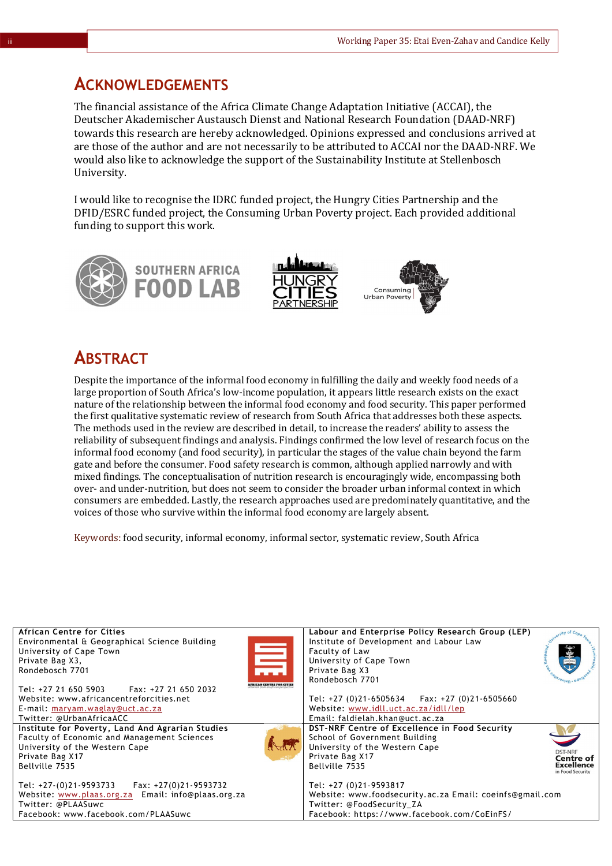### **ACKNOWLEDGEMENTS**

The financial assistance of the Africa Climate Change Adaptation Initiative (ACCAI), the Deutscher Akademischer Austausch Dienst and National Research Foundation (DAAD-NRF) towards this research are hereby acknowledged. Opinions expressed and conclusions arrived at are those of the author and are not necessarily to be attributed to ACCAI nor the DAAD-NRF. We would also like to acknowledge the support of the Sustainability Institute at Stellenbosch University.

I would like to recognise the IDRC funded project, the Hungry Cities Partnership and the DFID/ESRC funded project, the Consuming Urban Poverty project. Each provided additional funding to support this work.







### **ABSTRACT**

Despite the importance of the informal food economy in fulfilling the daily and weekly food needs of a large proportion of South Africa's low-income population, it appears little research exists on the exact nature of the relationship between the informal food economy and food security. This paper performed the first qualitative systematic review of research from South Africa that addresses both these aspects. The methods used in the review are described in detail, to increase the readers' ability to assess the reliability of subsequent findings and analysis. Findings confirmed the low level of research focus on the informal food economy (and food security), in particular the stages of the value chain beyond the farm gate and before the consumer. Food safety research is common, although applied narrowly and with mixed findings. The conceptualisation of nutrition research is encouragingly wide, encompassing both over- and under-nutrition, but does not seem to consider the broader urban informal context in which consumers are embedded. Lastly, the research approaches used are predominately quantitative, and the voices of those who survive within the informal food economy are largely absent.

Keywords: food security, informal economy, informal sector, systematic review, South Africa

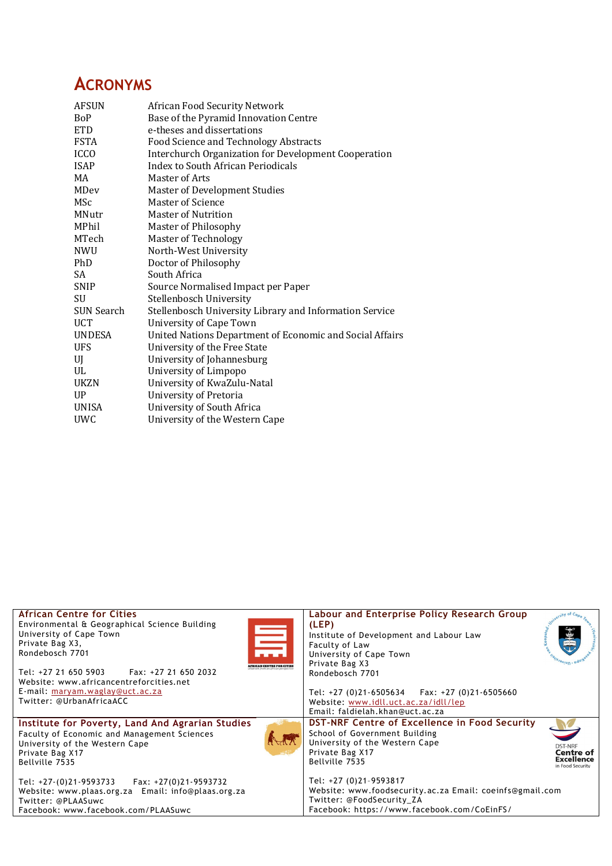## **ACRONYMS**

| <b>AFSUN</b>      | African Food Security Network                            |
|-------------------|----------------------------------------------------------|
| <b>BoP</b>        | Base of the Pyramid Innovation Centre                    |
| <b>ETD</b>        | e-theses and dissertations                               |
| <b>FSTA</b>       | Food Science and Technology Abstracts                    |
| <b>ICCO</b>       | Interchurch Organization for Development Cooperation     |
| <b>ISAP</b>       | Index to South African Periodicals                       |
| MA                | Master of Arts                                           |
| <b>MDev</b>       | <b>Master of Development Studies</b>                     |
| MSc               | <b>Master of Science</b>                                 |
| MNutr             | Master of Nutrition                                      |
| MPhil             | Master of Philosophy                                     |
| MTech             | Master of Technology                                     |
| <b>NWU</b>        | North-West University                                    |
| PhD               | Doctor of Philosophy                                     |
| SA                | South Africa                                             |
| <b>SNIP</b>       | Source Normalised Impact per Paper                       |
| SU                | Stellenbosch University                                  |
| <b>SUN Search</b> | Stellenbosch University Library and Information Service  |
| <b>UCT</b>        | <b>University of Cape Town</b>                           |
| <b>UNDESA</b>     | United Nations Department of Economic and Social Affairs |
| <b>UFS</b>        | University of the Free State                             |
| UJ                | University of Johannesburg                               |
| UL                | University of Limpopo                                    |
| <b>UKZN</b>       | University of KwaZulu-Natal                              |
| UP.               | University of Pretoria                                   |
| <b>UNISA</b>      | University of South Africa                               |
| <b>UWC</b>        | University of the Western Cape                           |
|                   |                                                          |

| <b>African Centre for Cities</b><br>Environmental & Geographical Science Building<br>University of Cape Town<br>Private Bag X3,<br>Rondebosch 7701<br><b>State</b><br>AFRICAN CENTRE FOR CITIES<br>Tel: +27 21 650 5903<br>Fax: +27 21 650 2032<br>Website: www.africancentreforcities.net<br>E-mail: maryam.waglay@uct.ac.za<br>Twitter: @UrbanAfricaACC | Labour and Enterprise Policy Research Group<br>(LEP)<br>Institute of Development and Labour Law<br><b>Faculty of Law</b><br>University of Cape Town<br>Private Bag X3<br>Rondebosch 7701<br>Tel: $+27$ (0)21-6505634 Fax: $+27$ (0)21-6505660<br>Website: www.idll.uct.ac.za/idll/lep |
|-----------------------------------------------------------------------------------------------------------------------------------------------------------------------------------------------------------------------------------------------------------------------------------------------------------------------------------------------------------|---------------------------------------------------------------------------------------------------------------------------------------------------------------------------------------------------------------------------------------------------------------------------------------|
|                                                                                                                                                                                                                                                                                                                                                           | Email: faldielah.khan@uct.ac.za                                                                                                                                                                                                                                                       |
| Institute for Poverty, Land And Agrarian Studies<br>Faculty of Economic and Management Sciences<br>University of the Western Cape<br>Private Bag X17<br>Bellville 7535                                                                                                                                                                                    | <b>DST-NRF Centre of Excellence in Food Security</b><br>School of Government Building<br>University of the Western Cape<br><b>DST-NRF</b><br>Private Bag X17<br><b>Centre of</b><br><b>Excellence</b><br>Bellville 7535<br>in Food Security                                           |
| Tel: $+27-(0)21-9593733$ Fax: $+27(0)21-9593732$<br>Website: www.plaas.org.za Email: info@plaas.org.za<br>Twitter: @PLAASuwc<br>Facebook: www.facebook.com/PLAASuwc                                                                                                                                                                                       | Tel: +27 (0)21-9593817<br>Website: www.foodsecurity.ac.za Email: coeinfs@gmail.com<br>Twitter: @FoodSecurity ZA<br>Facebook: https://www.facebook.com/CoEinFS/                                                                                                                        |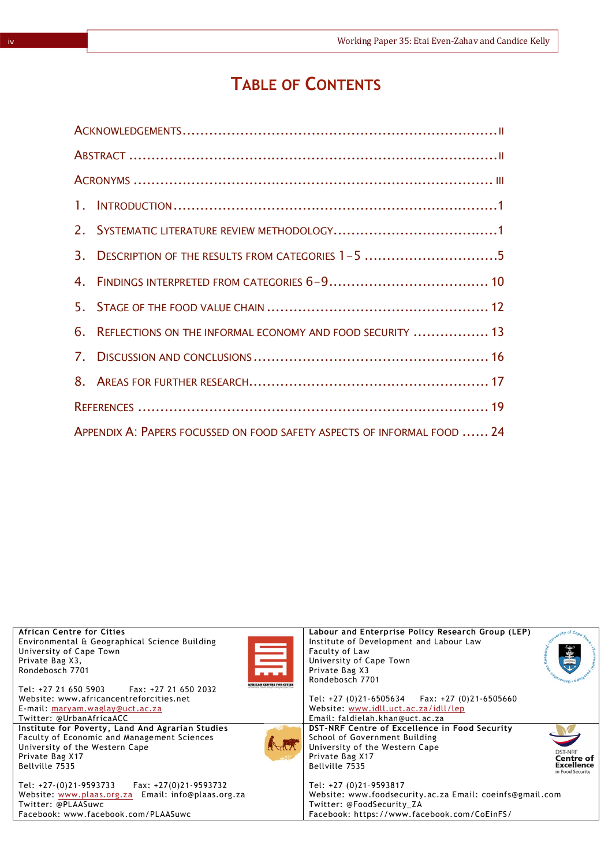## **TABLE OF CONTENTS**

|    | 3. DESCRIPTION OF THE RESULTS FROM CATEGORIES 1-5 5                     |  |  |  |
|----|-------------------------------------------------------------------------|--|--|--|
|    |                                                                         |  |  |  |
|    |                                                                         |  |  |  |
| 6. | REFLECTIONS ON THE INFORMAL ECONOMY AND FOOD SECURITY  13               |  |  |  |
|    |                                                                         |  |  |  |
|    |                                                                         |  |  |  |
|    |                                                                         |  |  |  |
|    | APPENDIX A: PAPERS FOCUSSED ON FOOD SAFETY ASPECTS OF INFORMAL FOOD  24 |  |  |  |

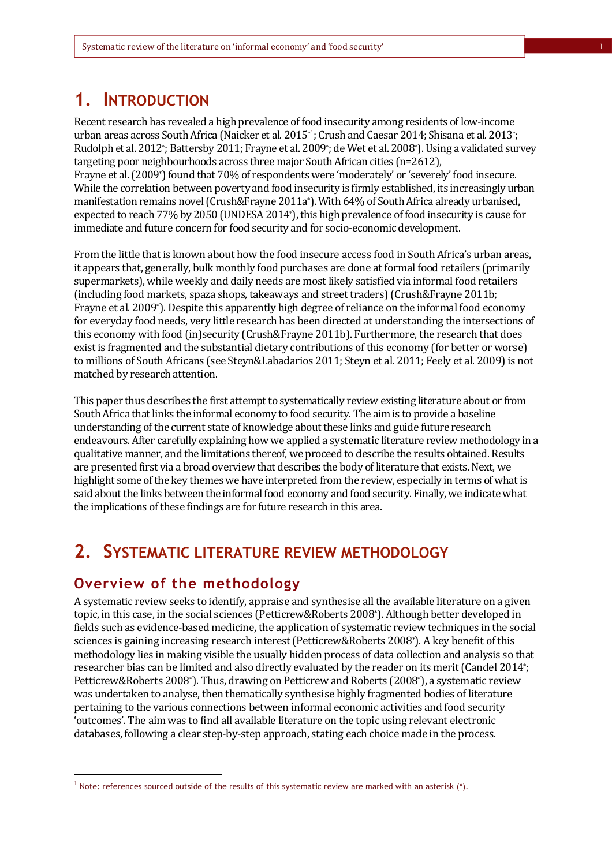## **1. INTRODUCTION**

Recent research has revealed a high prevalence of food insecurity among residents of low-income urban areas across South Africa (Naicker et al. 2015\* 1 ; Crush and Caesar 2014; Shisana et al. 2013\* ; Rudolph et al. 2012\* ; Battersby 2011; Frayne et al. 2009\* ; de Wet et al. 2008\*). Using a validated survey targeting poor neighbourhoods across three major South African cities (n=2612), Frayne et al. (2009\*) found that 70% of respondents were 'moderately' or 'severely' food insecure. While the correlation between poverty and food insecurity is firmly established, its increasingly urban manifestation remains novel (Crush&Frayne 2011a\*). With 64% of South Africa already urbanised, expected to reach 77% by 2050 (UNDESA 2014\*), this high prevalence of food insecurity is cause for immediate and future concern for food security and for socio-economic development.

From the little that is known about how the food insecure access food in South Africa's urban areas, it appears that, generally, bulk monthly food purchases are done at formal food retailers (primarily supermarkets), while weekly and daily needs are most likely satisfied via informal food retailers (including food markets, spaza shops, takeaways and street traders) (Crush&Frayne 2011b; Frayne et al*.* 2009\*). Despite this apparently high degree of reliance on the informal food economy for everyday food needs, very little research has been directed at understanding the intersections of this economy with food (in)security (Crush&Frayne 2011b). Furthermore, the research that does exist is fragmented and the substantial dietary contributions of this economy (for better or worse) to millions of South Africans (see Steyn&Labadarios 2011; Steyn et al*.* 2011; Feely et al*.* 2009) is not matched by research attention.

This paper thus describes the first attempt to systematically review existing literature about or from South Africa that links the informal economy to food security. The aim is to provide a baseline understanding of the current state of knowledge about these links and guide future research endeavours. After carefully explaining how we applied a systematic literature review methodology in a qualitative manner, and the limitations thereof, we proceed to describe the results obtained. Results are presented first via a broad overview that describes the body of literature that exists. Next, we highlight some of the key themes we have interpreted from the review, especially in terms of what is said about the links between the informal food economy and food security. Finally, we indicate what the implications of these findings are for future research in this area.

## **2. SYSTEMATIC LITERATURE REVIEW METHODOLOGY**

### **Overview of the methodology**

l

A systematic review seeks to identify, appraise and synthesise all the available literature on a given topic, in this case, in the social sciences (Petticrew&Roberts 2008\*). Although better developed in fields such as evidence-based medicine, the application of systematic review techniques in the social sciences is gaining increasing research interest (Petticrew&Roberts 2008\*). A key benefit of this methodology lies in making visible the usually hidden process of data collection and analysis so that researcher bias can be limited and also directly evaluated by the reader on its merit (Candel 2014\* ; Petticrew&Roberts 2008\*). Thus, drawing on Petticrew and Roberts (2008\*), a systematic review was undertaken to analyse, then thematically synthesise highly fragmented bodies of literature pertaining to the various connections between informal economic activities and food security 'outcomes'. The aim was to find all available literature on the topic using relevant electronic databases, following a clear step-by-step approach, stating each choice made in the process.

 $^1$  Note: references sourced outside of the results of this systematic review are marked with an asterisk (\*).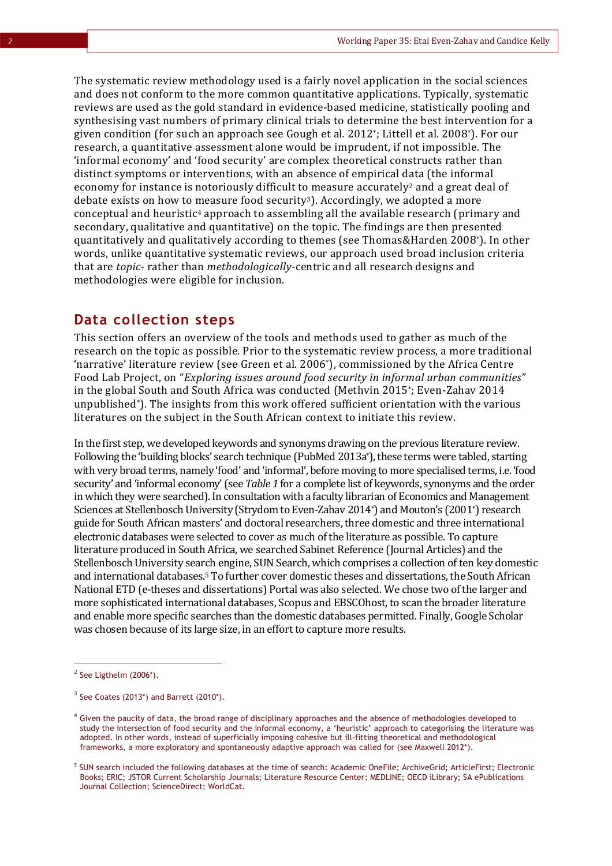The systematic review methodology used is a fairly novel application in the social sciences and does not conform to the more common quantitative applications. Typically, systematic reviews are used as the gold standard in evidence-based medicine, statistically pooling and synthesising vast numbers of primary clinical trials to determine the best intervention for a given condition (for such an approach see Gough et al*.* 2012\* ; Littell et al*.* 2008\*). For our research, a quantitative assessment alone would be imprudent, if not impossible. The 'informal economy' and 'food security' are complex theoretical constructs rather than distinct symptoms or interventions, with an absence of empirical data (the informal economy for instance is notoriously difficult to measure accurately<sup>2</sup> and a great deal of debate exists on how to measure food security3). Accordingly, we adopted a more conceptual and heuristic<sup>4</sup> approach to assembling all the available research (primary and secondary, qualitative and quantitative) on the topic. The findings are then presented quantitatively and qualitatively according to themes (see Thomas&Harden 2008\*). In other words, unlike quantitative systematic reviews, our approach used broad inclusion criteria that are *topic-* rather than *methodologically-*centric and all research designs and methodologies were eligible for inclusion.

#### **Data collection steps**

This section offers an overview of the tools and methods used to gather as much of the research on the topic as possible. Prior to the systematic review process, a more traditional 'narrative' literature review (see Green et al*.* 2006\*), commissioned by the Africa Centre Food Lab Project, on "*Exploring issues around food security in informal urban communities*" in the global South and South Africa was conducted (Methvin 2015\* ; Even-Zahav 2014 unpublished\*). The insights from this work offered sufficient orientation with the various literatures on the subject in the South African context to initiate this review.

In the first step, we developed keywords and synonyms drawing on the previous literature review. Following the 'building blocks' search technique (PubMed 2013a\*), these terms were tabled, starting with very broad terms, namely 'food' and 'informal', before moving to more specialised terms, i.e. 'food security' and 'informal economy' (see *Table 1* for a complete list of keywords, synonyms and the order in which they were searched). In consultation with a faculty librarian of Economics and Management Sciences at Stellenbosch University (Strydom to Even-Zahav 2014\*) and Mouton's (2001\*) research guide for South African masters' and doctoral researchers, three domestic and three international electronic databases were selected to cover as much of the literature as possible. To capture literature produced in South Africa, we searched Sabinet Reference (Journal Articles) and the Stellenbosch University search engine, SUN Search, which comprises a collection of ten key domestic and international databases.<sup>5</sup> To further cover domestic theses and dissertations, the South African National ETD (e-theses and dissertations) Portal was also selected. We chose two of the larger and more sophisticated international databases, Scopus and EBSCOhost, to scan the broader literature and enable more specific searches than the domestic databases permitted. Finally, Google Scholar was chosen because of its large size, in an effort to capture more results.

 $\overline{a}$ 

 $2$  See Ligthelm (2006\*).

 $3$  See Coates (2013\*) and Barrett (2010\*).

<sup>&</sup>lt;sup>4</sup> Given the paucity of data, the broad range of disciplinary approaches and the absence of methodologies developed to study the intersection of food security and the informal economy, a 'heuristic' approach to categorising the literature was adopted. In other words, instead of superficially imposing cohesive but ill-fitting theoretical and methodological frameworks, a more exploratory and spontaneously adaptive approach was called for (see Maxwell 2012\*).

<sup>5</sup> SUN search included the following databases at the time of search: Academic OneFile; ArchiveGrid; ArticleFirst; Electronic Books; ERIC; JSTOR Current Scholarship Journals; Literature Resource Center; MEDLINE; OECD iLibrary; SA ePublications Journal Collection; ScienceDirect; WorldCat.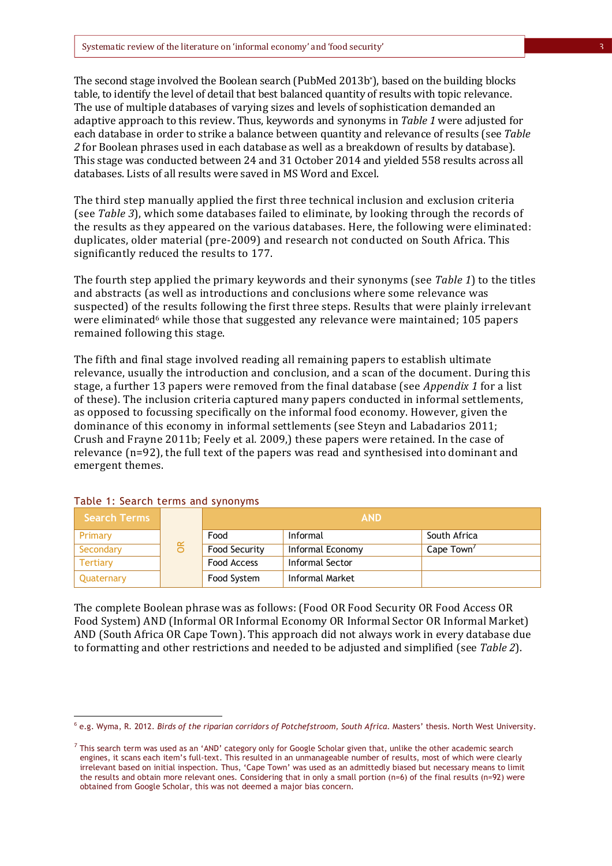The second stage involved the Boolean search (PubMed 2013b\*), based on the building blocks table, to identify the level of detail that best balanced quantity of results with topic relevance. The use of multiple databases of varying sizes and levels of sophistication demanded an adaptive approach to this review. Thus, keywords and synonyms in *Table 1* were adjusted for each database in order to strike a balance between quantity and relevance of results (see *Table 2* for Boolean phrases used in each database as well as a breakdown of results by database). This stage was conducted between 24 and 31 October 2014 and yielded 558 results across all databases. Lists of all results were saved in MS Word and Excel.

The third step manually applied the first three technical inclusion and exclusion criteria (see *Table 3*), which some databases failed to eliminate, by looking through the records of the results as they appeared on the various databases. Here, the following were eliminated: duplicates, older material (pre-2009) and research not conducted on South Africa. This significantly reduced the results to 177.

The fourth step applied the primary keywords and their synonyms (see *Table 1*) to the titles and abstracts (as well as introductions and conclusions where some relevance was suspected) of the results following the first three steps. Results that were plainly irrelevant were eliminated<sup>6</sup> while those that suggested any relevance were maintained; 105 papers remained following this stage.

The fifth and final stage involved reading all remaining papers to establish ultimate relevance, usually the introduction and conclusion, and a scan of the document. During this stage, a further 13 papers were removed from the final database (see *Appendix 1* for a list of these). The inclusion criteria captured many papers conducted in informal settlements, as opposed to focussing specifically on the informal food economy. However, given the dominance of this economy in informal settlements (see Steyn and Labadarios 2011; Crush and Frayne 2011b; Feely et al*.* 2009,) these papers were retained. In the case of relevance (n=92), the full text of the papers was read and synthesised into dominant and emergent themes.

| <b>Search Terms</b> |           | <b>AND</b>    |                  |                        |  |
|---------------------|-----------|---------------|------------------|------------------------|--|
| Primary             |           | Food          | Informal         | South Africa           |  |
| Secondary           | $\propto$ | Food Security | Informal Economy | Cape Town <sup>7</sup> |  |
| <b>Tertiary</b>     |           | Food Access   | Informal Sector  |                        |  |
| Quaternary          |           | Food System   | Informal Market  |                        |  |

#### Table 1: Search terms and synonyms

 $\overline{a}$ 

The complete Boolean phrase was as follows: (Food OR Food Security OR Food Access OR Food System) AND (Informal OR Informal Economy OR Informal Sector OR Informal Market) AND (South Africa OR Cape Town). This approach did not always work in every database due to formatting and other restrictions and needed to be adjusted and simplified (see *Table 2*).

<sup>6</sup> e.g. Wyma, R. 2012. *Birds of the riparian corridors of Potchefstroom, South Africa*. Masters' thesis. North West University.

 $^7$  This search term was used as an 'AND' category only for Google Scholar given that, unlike the other academic search engines, it scans each item's full-text. This resulted in an unmanageable number of results, most of which were clearly irrelevant based on initial inspection. Thus, 'Cape Town' was used as an admittedly biased but necessary means to limit the results and obtain more relevant ones. Considering that in only a small portion (n=6) of the final results (n=92) were obtained from Google Scholar, this was not deemed a major bias concern.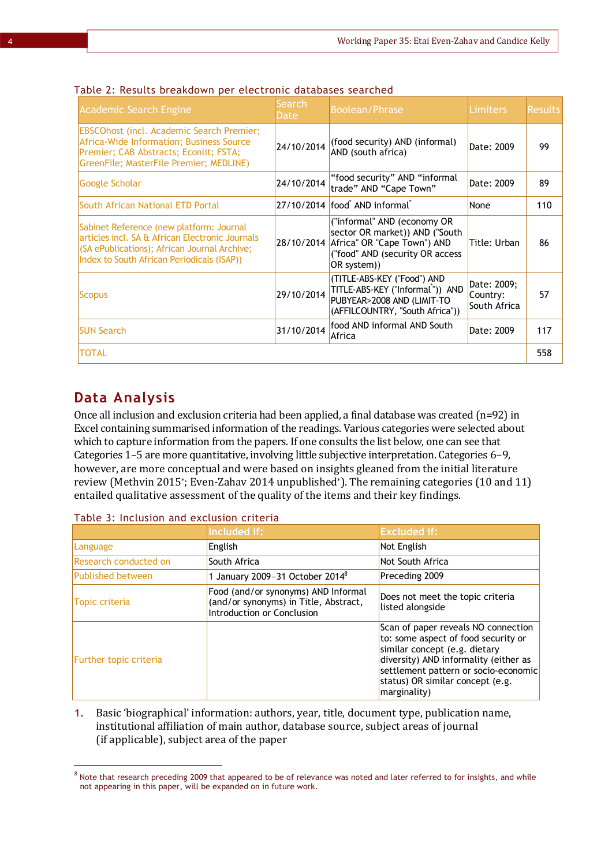| <b>Academic Search Engine</b>                                                                                                                                                             | Search<br>Date | <b>Boolean/Phrase</b>                                                                                                                                      | Limiters                                | <b>Results</b> |
|-------------------------------------------------------------------------------------------------------------------------------------------------------------------------------------------|----------------|------------------------------------------------------------------------------------------------------------------------------------------------------------|-----------------------------------------|----------------|
| <b>EBSCOhost (incl. Academic Search Premier;</b><br>Africa-Wide Information; Business Source<br>Premier; CAB Abstracts; Econlit; FSTA;<br>GreenFile; MasterFile Premier; MEDLINE)         | 24/10/2014     | (food security) AND (informal)<br>AND (south africa)                                                                                                       | Date: 2009                              | 99             |
| Google Scholar                                                                                                                                                                            | 24/10/2014     | "food security" AND "informal<br>trade" AND "Cape Town"                                                                                                    | Date: 2009                              | 89             |
| South African National ETD Portal                                                                                                                                                         |                | 27/10/2014 food AND informal                                                                                                                               | None                                    | 110            |
| Sabinet Reference (new platform: Journal<br>articles incl. SA & African Electronic Journals<br>(SA ePublications); African Journal Archive;<br>Index to South African Periodicals (ISAP)) |                | ("informal" AND (economy OR<br>sector OR market)) AND ("South<br>28/10/2014 Africa" OR "Cape Town") AND<br>("food" AND (security OR access)<br>OR system)) | Title: Urban                            | 86             |
| <b>Scopus</b>                                                                                                                                                                             | 29/10/2014     | (TITLE-ABS-KEY ("Food") AND<br>TITLE-ABS-KEY ("Informal*")) AND<br>PUBYEAR>2008 AND (LIMIT-TO<br>(AFFILCOUNTRY, "South Africa"))                           | Date: 2009;<br>Country:<br>South Africa | 57             |
| <b>SUN Search</b>                                                                                                                                                                         | 31/10/2014     | food AND informal AND South<br>Africa                                                                                                                      | Date: 2009                              | 117            |
| <b>TOTAL</b>                                                                                                                                                                              |                |                                                                                                                                                            |                                         | 558            |

#### Table 2: Results breakdown per electronic databases searched

### **Data Analysis**

l

Once all inclusion and exclusion criteria had been applied, a final database was created  $(n=92)$  in Excel containing summarised information of the readings. Various categories were selected about which to capture information from the papers. If one consults the list below, one can see that Categories 1–5 are more quantitative, involving little subjective interpretation. Categories 6-9, however, are more conceptual and were based on insights gleaned from the initial literature review (Methvin 2015\* ; Even-Zahav 2014 unpublished\*). The remaining categories (10 and 11) entailed qualitative assessment of the quality of the items and their key findings.

|                          | Included if:                                                                                               | <b>Excluded if:</b>                                                                                                                                                                                                                              |
|--------------------------|------------------------------------------------------------------------------------------------------------|--------------------------------------------------------------------------------------------------------------------------------------------------------------------------------------------------------------------------------------------------|
| Language                 | English                                                                                                    | Not English                                                                                                                                                                                                                                      |
| Research conducted on    | South Africa                                                                                               | Not South Africa                                                                                                                                                                                                                                 |
| <b>Published between</b> | 1 January 2009-31 October 2014 <sup>8</sup>                                                                | Preceding 2009                                                                                                                                                                                                                                   |
| <b>Topic criteria</b>    | Food (and/or synonyms) AND Informal<br>(and/or synonyms) in Title, Abstract,<br>Introduction or Conclusion | Does not meet the topic criteria<br>listed alongside                                                                                                                                                                                             |
| Further topic criteria   |                                                                                                            | Scan of paper reveals NO connection<br>to: some aspect of food security or<br>similar concept (e.g. dietary<br>diversity) AND informality (either as<br>settlement pattern or socio-economic<br>status) OR similar concept (e.g.<br>marginality) |

#### Table 3: Inclusion and exclusion criteria

**1.** Basic 'biographical' information: authors, year, title, document type, publication name, institutional affiliation of main author, database source, subject areas of journal (if applicable), subject area of the paper

 $8$  Note that research preceding 2009 that appeared to be of relevance was noted and later referred to for insights, and while not appearing in this paper, will be expanded on in future work.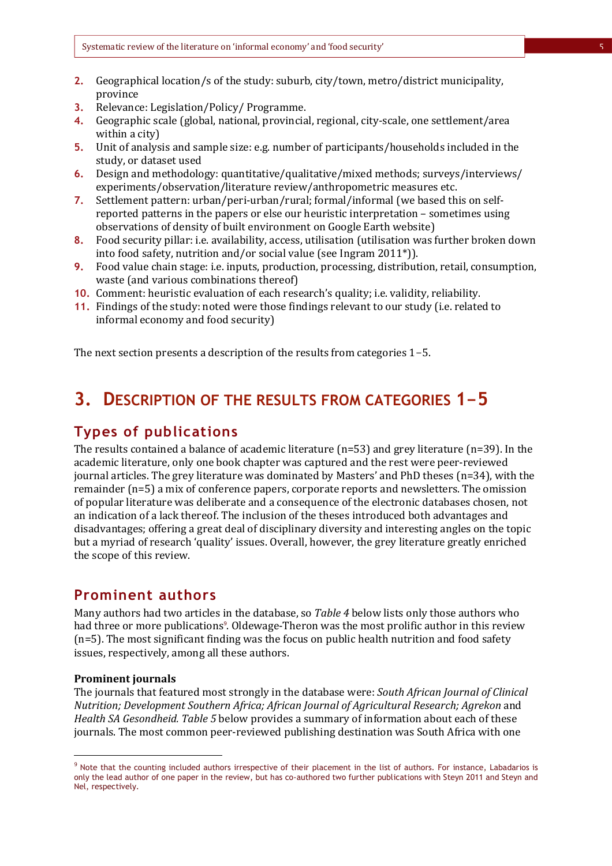- **2.** Geographical location/s of the study: suburb, city/town, metro/district municipality, province
- **3.** Relevance: Legislation/Policy/ Programme.
- **4.** Geographic scale (global, national, provincial, regional, city-scale, one settlement/area within a city)
- **5.** Unit of analysis and sample size: e.g. number of participants/households included in the study, or dataset used
- **6.** Design and methodology: quantitative/qualitative/mixed methods; surveys/interviews/ experiments/observation/literature review/anthropometric measures etc.
- **7.** Settlement pattern: urban/peri-urban/rural; formal/informal (we based this on selfreported patterns in the papers or else our heuristic interpretation – sometimes using observations of density of built environment on Google Earth website)
- **8.** Food security pillar: i.e. availability, access, utilisation (utilisation was further broken down into food safety, nutrition and/or social value (see Ingram 2011\*)).
- **9.** Food value chain stage: i.e. inputs, production, processing, distribution, retail, consumption, waste (and various combinations thereof)
- **10.** Comment: heuristic evaluation of each research's quality; i.e. validity, reliability.
- **11.** Findings of the study: noted were those findings relevant to our study (i.e. related to informal economy and food security)

The next section presents a description of the results from categories 1-5.

## **3. DESCRIPTION OF THE RESULTS FROM CATEGORIES 1-5**

### **Types of publications**

The results contained a balance of academic literature (n=53) and grey literature (n=39). In the academic literature, only one book chapter was captured and the rest were peer-reviewed journal articles. The grey literature was dominated by Masters' and PhD theses (n=34), with the remainder (n=5) a mix of conference papers, corporate reports and newsletters. The omission of popular literature was deliberate and a consequence of the electronic databases chosen, not an indication of a lack thereof. The inclusion of the theses introduced both advantages and disadvantages; offering a great deal of disciplinary diversity and interesting angles on the topic but a myriad of research 'quality' issues. Overall, however, the grey literature greatly enriched the scope of this review.

#### **Prominent authors**

Many authors had two articles in the database, so *Table 4* below lists only those authors who had three or more publications<sup>9</sup>. Oldewage-Theron was the most prolific author in this review (n=5). The most significant finding was the focus on public health nutrition and food safety issues, respectively, among all these authors.

#### **Prominent journals**

 $\overline{a}$ 

The journals that featured most strongly in the database were: *South African Journal of Clinical Nutrition; Development Southern Africa; African Journal of Agricultural Research; Agrekon* and *Health SA Gesondheid. Table 5* below provides a summary of information about each of these journals. The most common peer-reviewed publishing destination was South Africa with one

<sup>&</sup>lt;sup>9</sup> Note that the counting included authors irrespective of their placement in the list of authors. For instance, Labadarios is only the lead author of one paper in the review, but has co-authored two further publications with Steyn 2011 and Steyn and Nel, respectively.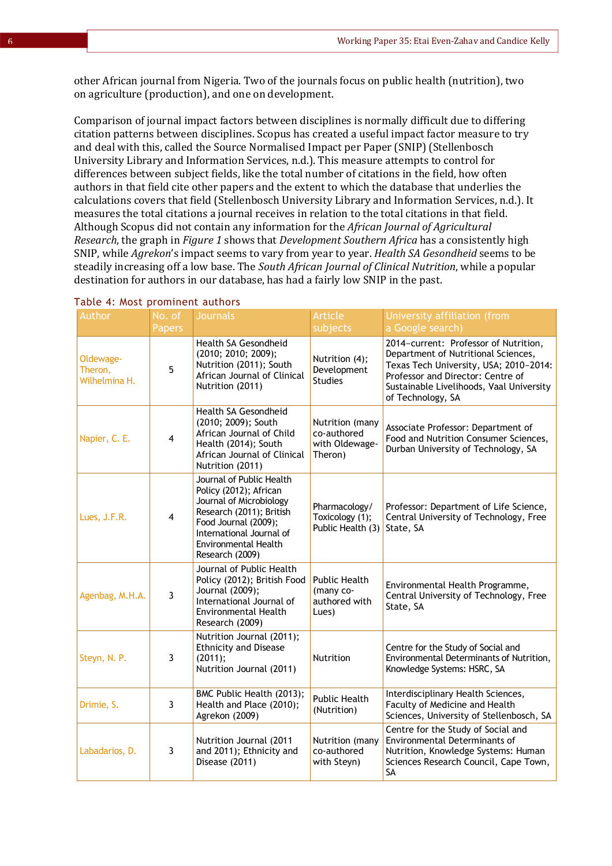other African journal from Nigeria. Two of the journals focus on public health (nutrition), two on agriculture (production), and one on development.

Comparison of journal impact factors between disciplines is normally difficult due to differing citation patterns between disciplines. Scopus has created a useful impact factor measure to try and deal with this, called the Source Normalised Impact per Paper (SNIP) (Stellenbosch University Library and Information Services, n.d.). This measure attempts to control for differences between subject fields, like the total number of citations in the field, how often authors in that field cite other papers and the extent to which the database that underlies the calculations covers that field (Stellenbosch University Library and Information Services, n.d.). It measures the total citations a journal receives in relation to the total citations in that field. Although Scopus did not contain any information for the *African Journal of Agricultural Research*, the graph in *Figure 1* shows that *Development Southern Africa* has a consistently high SNIP, while *Agrekon*'s impact seems to vary from year to year. *Health SA Gesondheid* seems to be steadily increasing off a low base. The *South African Journal of Clinical Nutrition*, while a popular destination for authors in our database, has had a fairly low SNIP in the past.

| Author                                | No. of                  | <b>Journals</b>                                                                                                                                                                                                 | <b>Article</b>                                              | University affiliation (from                                                                                                                                                                                                 |
|---------------------------------------|-------------------------|-----------------------------------------------------------------------------------------------------------------------------------------------------------------------------------------------------------------|-------------------------------------------------------------|------------------------------------------------------------------------------------------------------------------------------------------------------------------------------------------------------------------------------|
|                                       | Papers                  |                                                                                                                                                                                                                 | subjects                                                    | a Google search)                                                                                                                                                                                                             |
| Oldewage-<br>Theron,<br>Wilhelmina H. | 5                       | Health SA Gesondheid<br>(2010; 2010; 2009);<br>Nutrition (2011); South<br>African Journal of Clinical<br>Nutrition (2011)                                                                                       | Nutrition (4);<br>Development<br><b>Studies</b>             | 2014-current: Professor of Nutrition,<br>Department of Nutritional Sciences,<br>Texas Tech University, USA; 2010-2014:<br>Professor and Director: Centre of<br>Sustainable Livelihoods, Vaal University<br>of Technology, SA |
| Napier, C. E.                         | 4                       | Health SA Gesondheid<br>(2010; 2009); South<br>African Journal of Child<br>Health (2014); South<br>African Journal of Clinical<br>Nutrition (2011)                                                              | Nutrition (many<br>co-authored<br>with Oldewage-<br>Theron) | Associate Professor: Department of<br>Food and Nutrition Consumer Sciences,<br>Durban University of Technology, SA                                                                                                           |
| Lues, J.F.R.                          | $\overline{\mathbf{4}}$ | Journal of Public Health<br>Policy (2012); African<br>Journal of Microbiology<br>Research (2011); British<br>Food Journal (2009);<br>International Journal of<br><b>Environmental Health</b><br>Research (2009) | Pharmacology/<br>Toxicology (1);<br>Public Health (3)       | Professor: Department of Life Science,<br>Central University of Technology, Free<br>State, SA                                                                                                                                |
| Agenbag, M.H.A.                       | 3                       | Journal of Public Health<br>Policy (2012); British Food<br>Journal (2009);<br>International Journal of<br><b>Environmental Health</b><br>Research (2009)                                                        | <b>Public Health</b><br>(many co-<br>authored with<br>Lues) | Environmental Health Programme,<br>Central University of Technology, Free<br>State, SA                                                                                                                                       |
| Steyn, N. P.                          | 3                       | Nutrition Journal (2011);<br><b>Ethnicity and Disease</b><br>(2011);<br>Nutrition Journal (2011)                                                                                                                | Nutrition                                                   | Centre for the Study of Social and<br>Environmental Determinants of Nutrition,<br>Knowledge Systems: HSRC, SA                                                                                                                |
| Drimie, S.                            | 3                       | BMC Public Health (2013);<br>Health and Place (2010);<br>Agrekon (2009)                                                                                                                                         | Public Health<br>(Nutrition)                                | Interdisciplinary Health Sciences,<br>Faculty of Medicine and Health<br>Sciences, University of Stellenbosch, SA                                                                                                             |
| Labadarios, D.                        | 3                       | Nutrition Journal (2011<br>and 2011); Ethnicity and<br>Disease (2011)                                                                                                                                           | Nutrition (many<br>co-authored<br>with Steyn)               | Centre for the Study of Social and<br><b>Environmental Determinants of</b><br>Nutrition, Knowledge Systems: Human<br>Sciences Research Council, Cape Town,<br>SA                                                             |

#### Table 4: Most prominent authors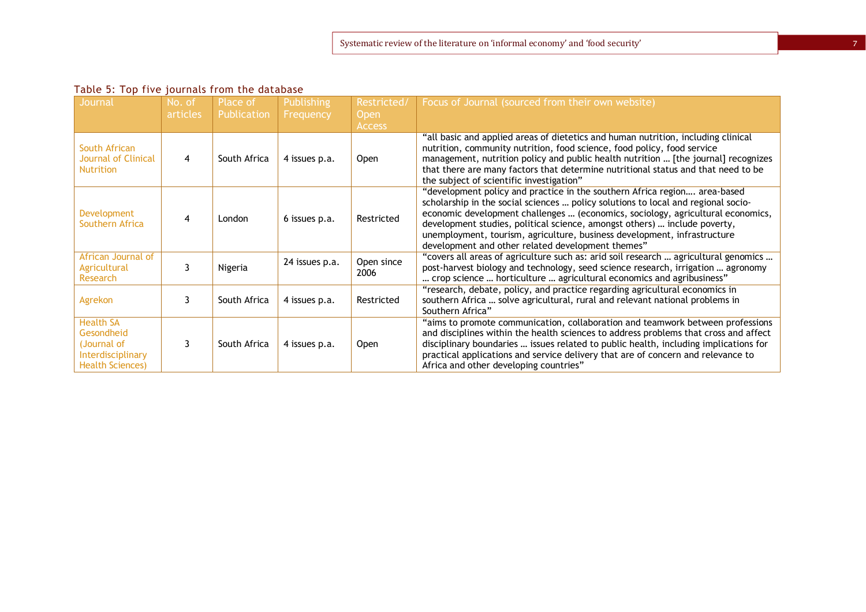| Table 5: Top five journals from the database |
|----------------------------------------------|
|----------------------------------------------|

| Journal                                                                                       | No. of   | Place of     | <b>Publishing</b> | Restricted/        | Focus of Journal (sourced from their own website)                                                                                                                                                                                                                                                                                                                                                                                                               |
|-----------------------------------------------------------------------------------------------|----------|--------------|-------------------|--------------------|-----------------------------------------------------------------------------------------------------------------------------------------------------------------------------------------------------------------------------------------------------------------------------------------------------------------------------------------------------------------------------------------------------------------------------------------------------------------|
|                                                                                               | articles | Publication  | Frequency         | Open               |                                                                                                                                                                                                                                                                                                                                                                                                                                                                 |
|                                                                                               |          |              |                   | <b>Access</b>      |                                                                                                                                                                                                                                                                                                                                                                                                                                                                 |
| South African<br>Journal of Clinical<br><b>Nutrition</b>                                      | 4        | South Africa | 4 issues p.a.     | <b>Open</b>        | "all basic and applied areas of dietetics and human nutrition, including clinical<br>nutrition, community nutrition, food science, food policy, food service<br>management, nutrition policy and public health nutrition  [the journal] recognizes<br>that there are many factors that determine nutritional status and that need to be<br>the subject of scientific investigation"                                                                             |
| Development<br>Southern Africa                                                                | 4        | London       | 6 issues p.a.     | Restricted         | "development policy and practice in the southern Africa region area-based<br>scholarship in the social sciences  policy solutions to local and regional socio-<br>economic development challenges  (economics, sociology, agricultural economics,<br>development studies, political science, amongst others)  include poverty,<br>unemployment, tourism, agriculture, business development, infrastructure<br>development and other related development themes" |
| African Journal of<br>Agricultural<br><b>Research</b>                                         | 3        | Nigeria      | 24 issues p.a.    | Open since<br>2006 | "covers all areas of agriculture such as: arid soil research  agricultural genomics<br>post-harvest biology and technology, seed science research, irrigation  agronomy<br>crop science  horticulture  agricultural economics and agribusiness"                                                                                                                                                                                                                 |
| Agrekon                                                                                       |          | South Africa | 4 issues p.a.     | Restricted         | "research, debate, policy, and practice regarding agricultural economics in<br>southern Africa  solve agricultural, rural and relevant national problems in<br>Southern Africa"                                                                                                                                                                                                                                                                                 |
| <b>Health SA</b><br>Gesondheid<br>(Journal of<br>Interdisciplinary<br><b>Health Sciences)</b> |          | South Africa | 4 issues p.a.     | <b>Open</b>        | "aims to promote communication, collaboration and teamwork between professions<br>and disciplines within the health sciences to address problems that cross and affect<br>disciplinary boundaries  issues related to public health, including implications for<br>practical applications and service delivery that are of concern and relevance to<br>Africa and other developing countries"                                                                    |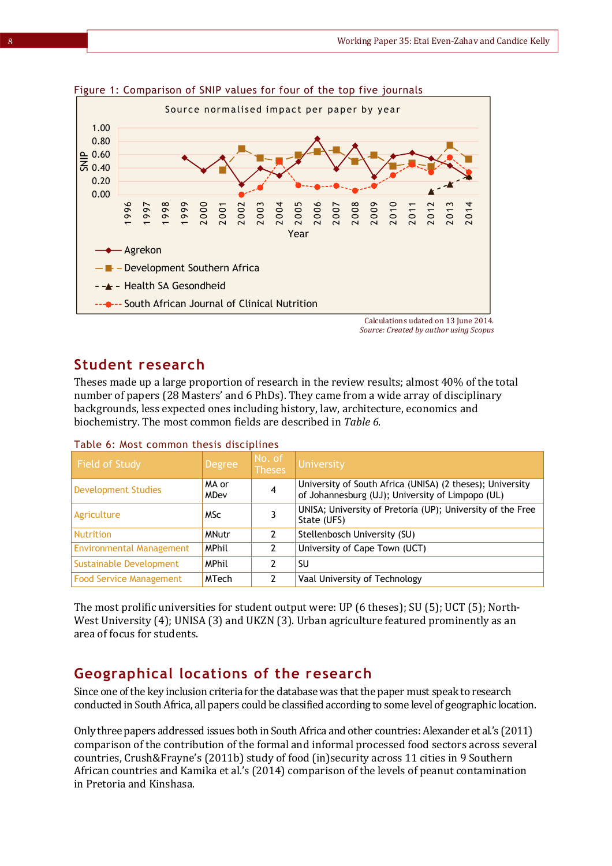

Figure 1: Comparison of SNIP values for four of the top five journals

### **Student research**

Theses made up a large proportion of research in the review results; almost 40% of the total number of papers (28 Masters' and 6 PhDs). They came from a wide array of disciplinary backgrounds, less expected ones including history, law, architecture, economics and biochemistry. The most common fields are described in *Table 6*.

| <b>Field of Study</b>           | <b>Degree</b> | No. of<br><b>Theses</b> | University                                                                                                    |
|---------------------------------|---------------|-------------------------|---------------------------------------------------------------------------------------------------------------|
| <b>Development Studies</b>      | MA or<br>MDev | 4                       | University of South Africa (UNISA) (2 theses); University<br>of Johannesburg (UJ); University of Limpopo (UL) |
| Agriculture                     | <b>MSc</b>    |                         | UNISA; University of Pretoria (UP); University of the Free<br>State (UFS)                                     |
| <b>Nutrition</b>                | <b>MNutr</b>  | $\mathcal{P}$           | Stellenbosch University (SU)                                                                                  |
| <b>Environmental Management</b> | <b>MPhil</b>  | 2                       | University of Cape Town (UCT)                                                                                 |
| Sustainable Development         | <b>MPhil</b>  | 2                       | SU                                                                                                            |
| <b>Food Service Management</b>  | <b>MTech</b>  | 2                       | Vaal University of Technology                                                                                 |

Table 6: Most common thesis disciplines

The most prolific universities for student output were: UP (6 theses); SU (5); UCT (5); North-West University (4); UNISA (3) and UKZN (3). Urban agriculture featured prominently as an area of focus for students.

### **Geographical locations of the research**

Since one of the key inclusion criteria for the database was that the paper must speak to research conducted in South Africa, all papers could be classified according to some level of geographic location.

Only three papers addressed issues both in South Africa and other countries: Alexander et al.'s (2011) comparison of the contribution of the formal and informal processed food sectors across several countries, Crush&Frayne's (2011b) study of food (in)security across 11 cities in 9 Southern African countries and Kamika et al.'s (2014) comparison of the levels of peanut contamination in Pretoria and Kinshasa.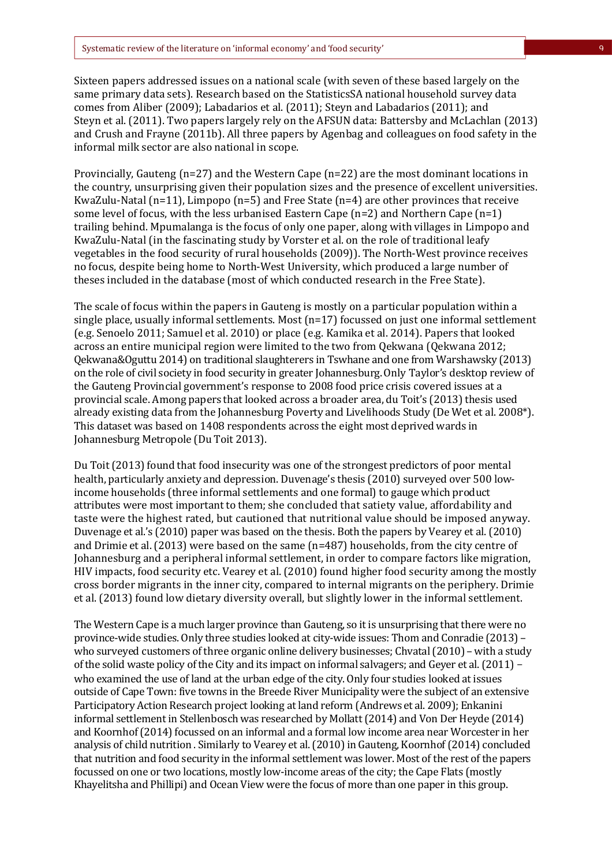Sixteen papers addressed issues on a national scale (with seven of these based largely on the same primary data sets). Research based on the StatisticsSA national household survey data comes from Aliber (2009); Labadarios et al. (2011); Steyn and Labadarios (2011); and Steyn et al. (2011). Two papers largely rely on the AFSUN data: Battersby and McLachlan (2013) and Crush and Frayne (2011b). All three papers by Agenbag and colleagues on food safety in the informal milk sector are also national in scope.

Provincially, Gauteng (n=27) and the Western Cape (n=22) are the most dominant locations in the country, unsurprising given their population sizes and the presence of excellent universities. KwaZulu-Natal (n=11), Limpopo (n=5) and Free State (n=4) are other provinces that receive some level of focus, with the less urbanised Eastern Cape  $(n=2)$  and Northern Cape  $(n=1)$ trailing behind. Mpumalanga is the focus of only one paper, along with villages in Limpopo and KwaZulu-Natal (in the fascinating study by Vorster et al. on the role of traditional leafy vegetables in the food security of rural households (2009)). The North-West province receives no focus, despite being home to North-West University, which produced a large number of theses included in the database (most of which conducted research in the Free State).

The scale of focus within the papers in Gauteng is mostly on a particular population within a single place, usually informal settlements. Most (n=17) focussed on just one informal settlement (e.g. Senoelo 2011; Samuel et al. 2010) or place (e.g. Kamika et al. 2014). Papers that looked across an entire municipal region were limited to the two from Qekwana (Qekwana 2012; Qekwana&Oguttu 2014) on traditional slaughterers in Tswhane and one from Warshawsky (2013) on the role of civil society in food security in greater Johannesburg. Only Taylor's desktop review of the Gauteng Provincial government's response to 2008 food price crisis covered issues at a provincial scale. Among papers that looked across a broader area, du Toit's (2013) thesis used already existing data from the Johannesburg Poverty and Livelihoods Study (De Wet et al. 2008<sup>\*</sup>). This dataset was based on 1408 respondents across the eight most deprived wards in Johannesburg Metropole (Du Toit 2013).

Du Toit (2013) found that food insecurity was one of the strongest predictors of poor mental health, particularly anxiety and depression. Duvenage's thesis (2010) surveyed over 500 lowincome households (three informal settlements and one formal) to gauge which product attributes were most important to them; she concluded that satiety value, affordability and taste were the highest rated, but cautioned that nutritional value should be imposed anyway. Duvenage et al.'s (2010) paper was based on the thesis. Both the papers by Vearey et al.(2010) and Drimie et al.(2013) were based on the same (n=487) households, from the city centre of Johannesburg and a peripheral informal settlement, in order to compare factors like migration, HIV impacts, food security etc. Vearey et al. (2010) found higher food security among the mostly cross border migrants in the inner city, compared to internal migrants on the periphery. Drimie et al. (2013) found low dietary diversity overall, but slightly lower in the informal settlement.

The Western Cape is a much larger province than Gauteng, so it is unsurprising that there were no province-wide studies. Only three studies looked at city-wide issues: Thom and Conradie (2013) – who surveyed customers of three organic online delivery businesses; Chvatal (2010) – with a study of the solid waste policy of the City and its impact on informal salvagers; and Geyer et al.(2011) who examined the use of land at the urban edge of the city. Only four studies looked at issues outside of Cape Town: five towns in the Breede River Municipality were the subject of an extensive Participatory Action Research project looking at land reform (Andrews et al. 2009); Enkanini informal settlement in Stellenbosch was researched by Mollatt (2014) and Von Der Heyde (2014) and Koornhof (2014) focussed on an informal and a formal low income area near Worcester in her analysis of child nutrition . Similarly to Vearey et al.(2010) in Gauteng, Koornhof (2014) concluded that nutrition and food security in the informal settlement was lower. Most of the rest of the papers focussed on one or two locations, mostly low-income areas of the city; the Cape Flats (mostly Khayelitsha and Phillipi) and Ocean View were the focus of more than one paper in this group.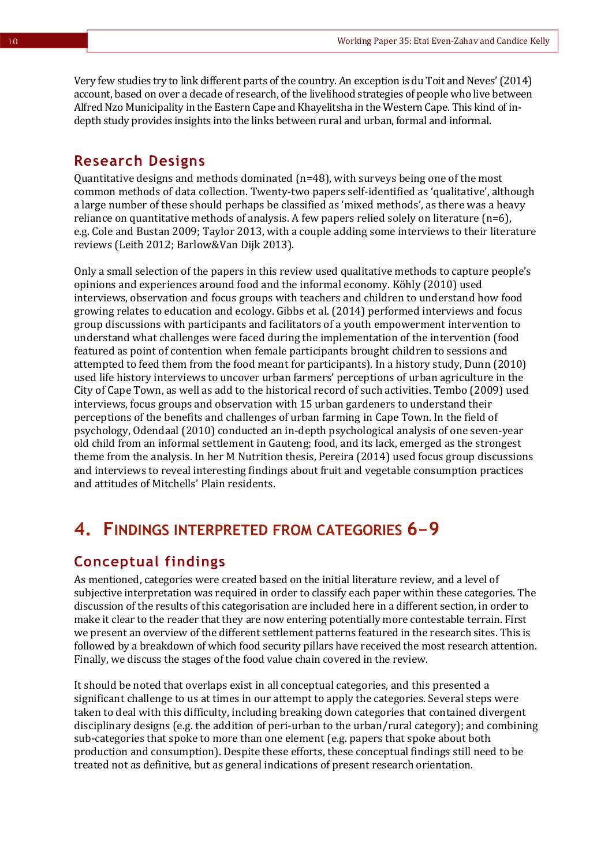Very few studies try to link different parts of the country. An exception is du Toit and Neves' (2014) account, based on over a decade of research, of the livelihood strategies of people who live between Alfred Nzo Municipality in the Eastern Cape and Khayelitsha in the Western Cape. This kind of indepth study provides insights into the links between rural and urban, formal and informal.

#### **Research Designs**

Quantitative designs and methods dominated (n=48), with surveys being one of the most common methods of data collection. Twenty-two papers self-identified as 'qualitative', although a large number of these should perhaps be classified as 'mixed methods', as there was a heavy reliance on quantitative methods of analysis. A few papers relied solely on literature (n=6), e.g. Cole and Bustan 2009; Taylor 2013, with a couple adding some interviews to their literature reviews (Leith 2012; Barlow&Van Dijk 2013).

Only a small selection of the papers in this review used qualitative methods to capture people's opinions and experiences around food and the informal economy. Köhly (2010) used interviews, observation and focus groups with teachers and children to understand how food growing relates to education and ecology. Gibbs et al. (2014) performed interviews and focus group discussions with participants and facilitators of a youth empowerment intervention to understand what challenges were faced during the implementation of the intervention (food featured as point of contention when female participants brought children to sessions and attempted to feed them from the food meant for participants). In a history study, Dunn (2010) used life history interviews to uncover urban farmers' perceptions of urban agriculture in the City of Cape Town, as well as add to the historical record of such activities. Tembo (2009) used interviews, focus groups and observation with 15 urban gardeners to understand their perceptions of the benefits and challenges of urban farming in Cape Town. In the field of psychology, Odendaal (2010) conducted an in-depth psychological analysis of one seven-year old child from an informal settlement in Gauteng; food, and its lack, emerged as the strongest theme from the analysis. In her M Nutrition thesis, Pereira (2014) used focus group discussions and interviews to reveal interesting findings about fruit and vegetable consumption practices and attitudes of Mitchells' Plain residents.

### **4. FINDINGS INTERPRETED FROM CATEGORIES 6-9**

### **Conceptual findings**

As mentioned, categories were created based on the initial literature review, and a level of subjective interpretation was required in order to classify each paper within these categories. The discussion of the results of this categorisation are included here in a different section, in order to make it clear to the reader that they are now entering potentially more contestable terrain. First we present an overview of the different settlement patterns featured in the research sites. This is followed by a breakdown of which food security pillars have received the most research attention. Finally, we discuss the stages of the food value chain covered in the review.

It should be noted that overlaps exist in all conceptual categories, and this presented a significant challenge to us at times in our attempt to apply the categories. Several steps were taken to deal with this difficulty, including breaking down categories that contained divergent disciplinary designs (e.g. the addition of peri-urban to the urban/rural category); and combining sub-categories that spoke to more than one element (e.g. papers that spoke about both production and consumption). Despite these efforts, these conceptual findings still need to be treated not as definitive, but as general indications of present research orientation.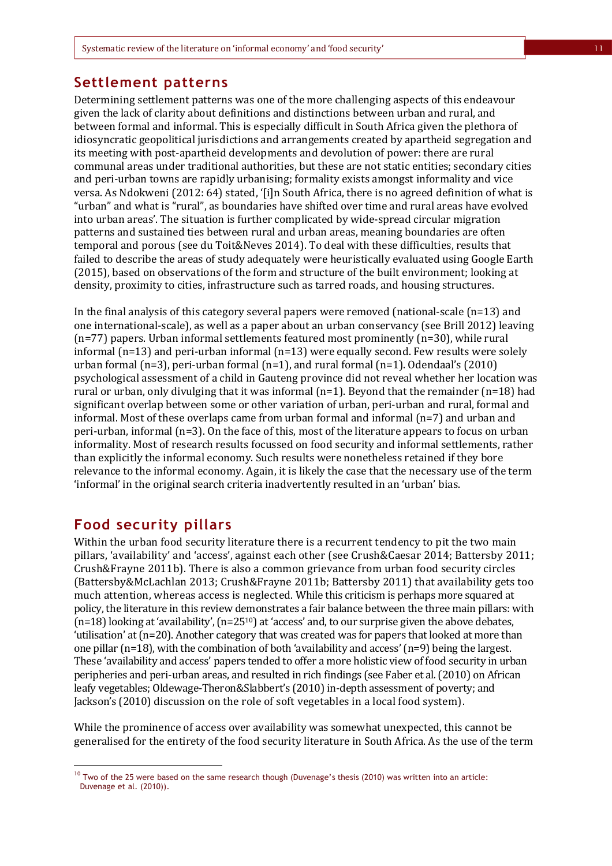#### **Settlement patterns**

Determining settlement patterns was one of the more challenging aspects of this endeavour given the lack of clarity about definitions and distinctions between urban and rural, and between formal and informal. This is especially difficult in South Africa given the plethora of idiosyncratic geopolitical jurisdictions and arrangements created by apartheid segregation and its meeting with post-apartheid developments and devolution of power: there are rural communal areas under traditional authorities, but these are not static entities; secondary cities and peri-urban towns are rapidly urbanising; formality exists amongst informality and vice versa. As Ndokweni (2012: 64) stated, '[i]n South Africa, there is no agreed definition of what is "urban" and what is "rural", as boundaries have shifted over time and rural areas have evolved into urban areas'. The situation is further complicated by wide-spread circular migration patterns and sustained ties between rural and urban areas, meaning boundaries are often temporal and porous (see du Toit&Neves 2014). To deal with these difficulties, results that failed to describe the areas of study adequately were heuristically evaluated using Google Earth (2015), based on observations of the form and structure of the built environment; looking at density, proximity to cities, infrastructure such as tarred roads, and housing structures.

In the final analysis of this category several papers were removed (national-scale  $(n=13)$  and one international-scale), as well as a paper about an urban conservancy (see Brill 2012) leaving  $(n=77)$  papers. Urban informal settlements featured most prominently  $(n=30)$ , while rural informal (n=13) and peri-urban informal (n=13) were equally second. Few results were solely urban formal (n=3), peri-urban formal (n=1), and rural formal (n=1). Odendaal's (2010) psychological assessment of a child in Gauteng province did not reveal whether her location was rural or urban, only divulging that it was informal  $(n=1)$ . Beyond that the remainder  $(n=18)$  had significant overlap between some or other variation of urban, peri-urban and rural, formal and informal. Most of these overlaps came from urban formal and informal (n=7) and urban and peri-urban, informal (n=3). On the face of this, most of the literature appears to focus on urban informality. Most of research results focussed on food security and informal settlements, rather than explicitly the informal economy. Such results were nonetheless retained if they bore relevance to the informal economy. Again, it is likely the case that the necessary use of the term 'informal' in the original search criteria inadvertently resulted in an 'urban' bias.

#### **Food security pillars**

l

Within the urban food security literature there is a recurrent tendency to pit the two main pillars, 'availability' and 'access', against each other (see Crush&Caesar 2014; Battersby 2011; Crush&Frayne 2011b). There is also a common grievance from urban food security circles (Battersby&McLachlan 2013; Crush&Frayne 2011b; Battersby 2011) that availability gets too much attention, whereas access is neglected. While this criticism is perhaps more squared at policy, the literature in this review demonstrates a fair balance between the three main pillars: with (n=18) looking at 'availability', (n=2510) at 'access' and, to our surprise given the above debates, 'utilisation' at (n=20). Another category that was created was for papers that looked at more than one pillar (n=18), with the combination of both 'availability and access' (n=9) being the largest. These 'availability and access' papers tended to offer a more holistic view of food security in urban peripheries and peri-urban areas, and resulted in rich findings (see Faber et al*.*(2010) on African leafy vegetables; Oldewage-Theron&Slabbert's (2010) in-depth assessment of poverty; and Jackson's (2010) discussion on the role of soft vegetables in a local food system).

While the prominence of access over availability was somewhat unexpected, this cannot be generalised for the entirety of the food security literature in South Africa. As the use of the term

<sup>&</sup>lt;sup>10</sup> Two of the 25 were based on the same research though (Duvenage's thesis (2010) was written into an article: Duvenage et al. (2010)).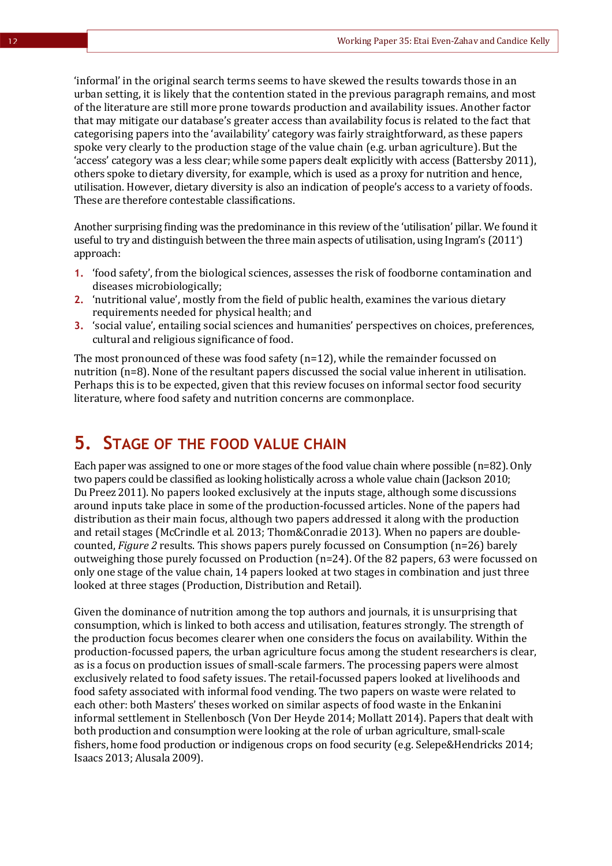'informal' in the original search terms seems to have skewed the results towards those in an urban setting, it is likely that the contention stated in the previous paragraph remains, and most of the literature are still more prone towards production and availability issues. Another factor that may mitigate our database's greater access than availability focus is related to the fact that categorising papers into the 'availability' category was fairly straightforward, as these papers spoke very clearly to the production stage of the value chain (e.g. urban agriculture). But the 'access' category was a less clear; while some papers dealt explicitly with access (Battersby 2011), others spoke to dietary diversity, for example, which is used as a proxy for nutrition and hence, utilisation. However, dietary diversity is also an indication of people's access to a variety of foods. These are therefore contestable classifications.

Another surprising finding was the predominance in this review of the 'utilisation' pillar. We found it useful to try and distinguish between the three main aspects of utilisation, using Ingram's (2011\*) approach:

- **1.** 'food safety', from the biological sciences, assesses the risk of foodborne contamination and diseases microbiologically;
- **2.** 'nutritional value', mostly from the field of public health, examines the various dietary requirements needed for physical health; and
- **3.** 'social value', entailing social sciences and humanities' perspectives on choices, preferences, cultural and religious significance of food.

The most pronounced of these was food safety (n=12), while the remainder focussed on nutrition (n=8). None of the resultant papers discussed the social value inherent in utilisation. Perhaps this is to be expected, given that this review focuses on informal sector food security literature, where food safety and nutrition concerns are commonplace.

### **5. STAGE OF THE FOOD VALUE CHAIN**

Each paper was assigned to one or more stages of the food value chain where possible (n=82). Only two papers could be classified as looking holistically across a whole value chain (Jackson 2010; Du Preez 2011). No papers looked exclusively at the inputs stage, although some discussions around inputs take place in some of the production-focussed articles. None of the papers had distribution as their main focus, although two papers addressed it along with the production and retail stages (McCrindle et al*.* 2013; Thom&Conradie 2013). When no papers are doublecounted, *Figure 2* results. This shows papers purely focussed on Consumption (n=26) barely outweighing those purely focussed on Production  $(n=24)$ . Of the 82 papers, 63 were focussed on only one stage of the value chain, 14 papers looked at two stages in combination and just three looked at three stages (Production, Distribution and Retail).

Given the dominance of nutrition among the top authors and journals, it is unsurprising that consumption, which is linked to both access and utilisation, features strongly. The strength of the production focus becomes clearer when one considers the focus on availability. Within the production-focussed papers, the urban agriculture focus among the student researchers is clear, as is a focus on production issues of small-scale farmers. The processing papers were almost exclusively related to food safety issues. The retail-focussed papers looked at livelihoods and food safety associated with informal food vending. The two papers on waste were related to each other: both Masters' theses worked on similar aspects of food waste in the Enkanini informal settlement in Stellenbosch (Von Der Heyde 2014; Mollatt 2014). Papers that dealt with both production and consumption were looking at the role of urban agriculture, small-scale fishers, home food production or indigenous crops on food security (e.g. Selepe&Hendricks 2014; Isaacs 2013; Alusala 2009).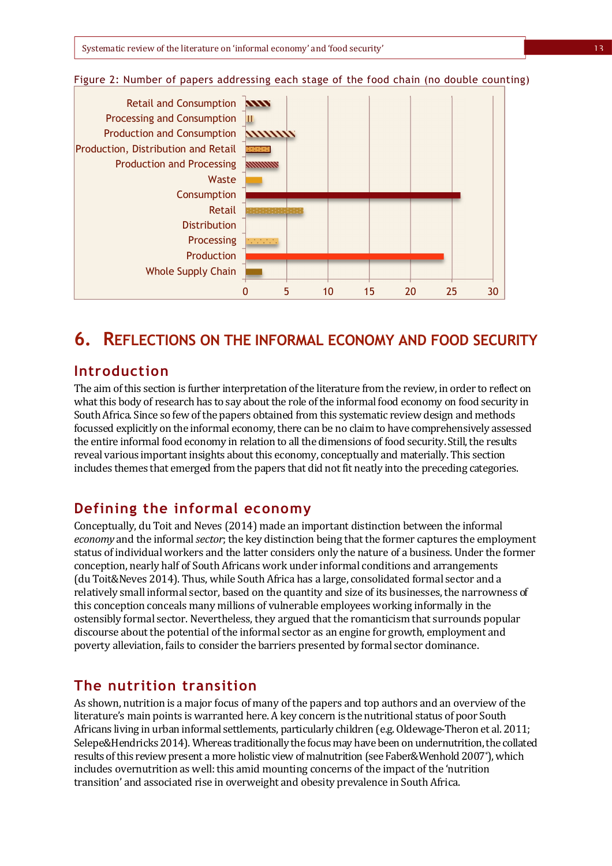

#### Figure 2: Number of papers addressing each stage of the food chain (no double counting)

### **6. REFLECTIONS ON THE INFORMAL ECONOMY AND FOOD SECURITY**

### **Introduction**

The aim of this section is further interpretation of the literature from the review, in order to reflect on what this body of research has to say about the role of the informal food economy on food security in South Africa. Since so few of the papers obtained from this systematic review design and methods focussed explicitly on the informal economy, there can be no claim to have comprehensively assessed the entire informal food economy in relation to all the dimensions of food security. Still, the results reveal various important insights about this economy, conceptually and materially. This section includes themes that emerged from the papers that did not fit neatly into the preceding categories.

#### **Defining the informal economy**

Conceptually, du Toit and Neves (2014) made an important distinction between the informal *economy* and the informal *sector*; the key distinction being that the former captures the employment status of individual workers and the latter considers only the nature of a business. Under the former conception, nearly half of South Africans work under informal conditions and arrangements (du Toit&Neves 2014). Thus, while South Africa has a large, consolidated formal sector and a relatively small informal sector, based on the quantity and size of its businesses, the narrowness of this conception conceals many millions of vulnerable employees working informally in the ostensibly formal sector. Nevertheless, they argued that the romanticism that surrounds popular discourse about the potential of the informal sector as an engine for growth, employment and poverty alleviation, fails to consider the barriers presented by formal sector dominance.

#### **The nutrition transition**

As shown, nutrition is a major focus of many of the papers and top authors and an overview of the literature's main points is warranted here. A key concern is the nutritional status of poor South Africans living in urban informal settlements, particularly children (e.g. Oldewage-Theron et al. 2011; Selepe&Hendricks 2014). Whereas traditionally the focus may have been on undernutrition, the collated results of this review present a more holistic view of malnutrition (see Faber&Wenhold 2007\*), which includes overnutrition as well: this amid mounting concerns of the impact of the 'nutrition transition' and associated rise in overweight and obesity prevalence in South Africa.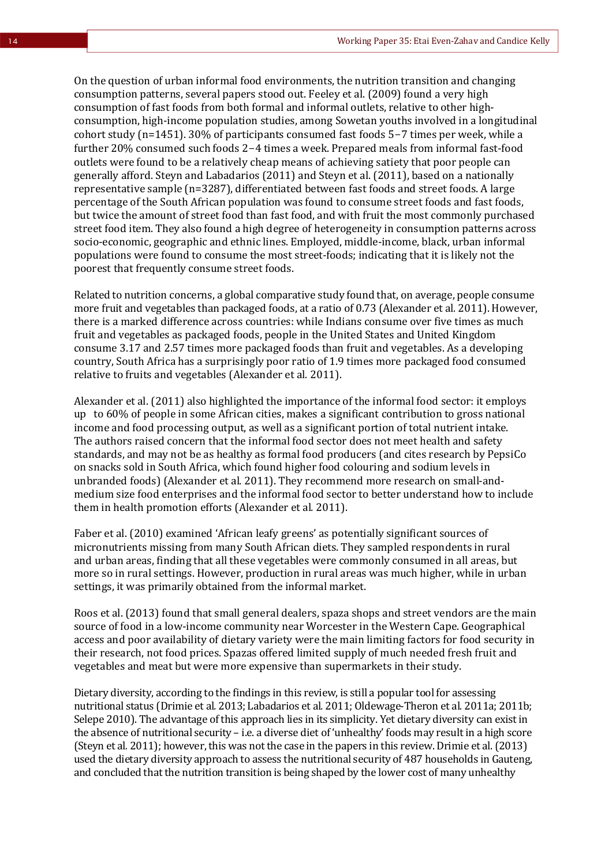On the question of urban informal food environments, the nutrition transition and changing consumption patterns, several papers stood out. Feeley et al. (2009) found a very high consumption of fast foods from both formal and informal outlets, relative to other highconsumption, high-income population studies, among Sowetan youths involved in a longitudinal cohort study (n=1451). 30% of participants consumed fast foods 5-7 times per week, while a further 20% consumed such foods 2-4 times a week. Prepared meals from informal fast-food outlets were found to be a relatively cheap means of achieving satiety that poor people can generally afford. Steyn and Labadarios (2011) and Steyn et al. (2011), based on a nationally representative sample (n=3287), differentiated between fast foods and street foods. A large percentage of the South African population was found to consume street foods and fast foods, but twice the amount of street food than fast food, and with fruit the most commonly purchased street food item. They also found a high degree of heterogeneity in consumption patterns across socio-economic, geographic and ethnic lines. Employed, middle-income, black, urban informal populations were found to consume the most street-foods; indicating that it is likely not the poorest that frequently consume street foods.

Related to nutrition concerns, a global comparative study found that, on average, people consume more fruit and vegetables than packaged foods, at a ratio of 0.73 (Alexander et al*.* 2011). However, there is a marked difference across countries: while Indians consume over five times as much fruit and vegetables as packaged foods, people in the United States and United Kingdom consume 3.17 and 2.57 times more packaged foods than fruit and vegetables. As a developing country, South Africa has a surprisingly poor ratio of 1.9 times more packaged food consumed relative to fruits and vegetables (Alexander et al*.* 2011).

Alexander et al. (2011) also highlighted the importance of the informal food sector: it employs up to 60% of people in some African cities, makes a significant contribution to gross national income and food processing output, as well as a significant portion of total nutrient intake. The authors raised concern that the informal food sector does not meet health and safety standards, and may not be as healthy as formal food producers (and cites research by PepsiCo on snacks sold in South Africa, which found higher food colouring and sodium levels in unbranded foods) (Alexander et al*.* 2011). They recommend more research on small-andmedium size food enterprises and the informal food sector to better understand how to include them in health promotion efforts (Alexander et al*.* 2011).

Faber et al. (2010) examined 'African leafy greens' as potentially significant sources of micronutrients missing from many South African diets. They sampled respondents in rural and urban areas, finding that all these vegetables were commonly consumed in all areas, but more so in rural settings. However, production in rural areas was much higher, while in urban settings, it was primarily obtained from the informal market.

Roos et al. (2013) found that small general dealers, spaza shops and street vendors are the main source of food in a low-income community near Worcester in the Western Cape. Geographical access and poor availability of dietary variety were the main limiting factors for food security in their research, not food prices. Spazas offered limited supply of much needed fresh fruit and vegetables and meat but were more expensive than supermarkets in their study.

Dietary diversity, according to the findings in this review, is still a popular tool for assessing nutritional status (Drimie et al*.* 2013; Labadarios et al*.* 2011; Oldewage-Theron et al*.* 2011a; 2011b; Selepe 2010). The advantage of this approach lies in its simplicity. Yet dietary diversity can exist in the absence of nutritional security – i.e. a diverse diet of 'unhealthy' foods may result in a high score (Steyn et al*.* 2011); however, this was not the case in the papers in this review. Drimie et al.(2013) used the dietary diversity approach to assess the nutritional security of 487 households in Gauteng, and concluded that the nutrition transition is being shaped by the lower cost of many unhealthy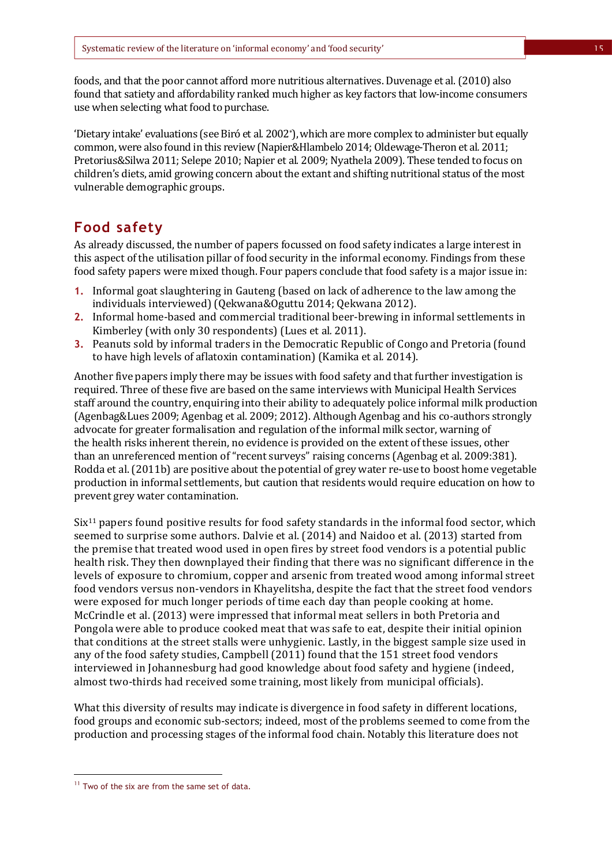foods, and that the poor cannot afford more nutritious alternatives. Duvenage et al. (2010) also found that satiety and affordability ranked much higher as key factors that low-income consumers use when selecting what food to purchase.

'Dietary intake' evaluations (see Biró et al*.* 2002\*), which are more complex to administer but equally common, were also found in this review (Napier&Hlambelo 2014; Oldewage-Theron et al*.* 2011; Pretorius&Silwa 2011; Selepe 2010; Napier et al*.* 2009; Nyathela 2009). These tended to focus on children's diets, amid growing concern about the extant and shifting nutritional status of the most vulnerable demographic groups.

### **Food safety**

As already discussed, the number of papers focussed on food safety indicates a large interest in this aspect of the utilisation pillar of food security in the informal economy. Findings from these food safety papers were mixed though. Four papers conclude that food safety is a major issue in:

- **1.** Informal goat slaughtering in Gauteng (based on lack of adherence to the law among the individuals interviewed) (Qekwana&Oguttu 2014; Qekwana 2012).
- **2.** Informal home-based and commercial traditional beer-brewing in informal settlements in Kimberley (with only 30 respondents) (Lues et al*.* 2011).
- **3.** Peanuts sold by informal traders in the Democratic Republic of Congo and Pretoria (found to have high levels of aflatoxin contamination) (Kamika et al*.* 2014).

Another five papers imply there may be issues with food safety and that further investigation is required. Three of these five are based on the same interviews with Municipal Health Services staff around the country, enquiring into their ability to adequately police informal milk production (Agenbag&Lues 2009; Agenbag et al. 2009; 2012). Although Agenbag and his co-authors strongly advocate for greater formalisation and regulation of the informal milk sector, warning of the health risks inherent therein, no evidence is provided on the extent of these issues, other than an unreferenced mention of "recent surveys" raising concerns (Agenbag et al. 2009:381). Rodda et al.(2011b) are positive about the potential of grey water re-use to boost home vegetable production in informal settlements, but caution that residents would require education on how to prevent grey water contamination.

 $Six<sup>11</sup>$  papers found positive results for food safety standards in the informal food sector, which seemed to surprise some authors. Dalvie et al. (2014) and Naidoo et al. (2013) started from the premise that treated wood used in open fires by street food vendors is a potential public health risk. They then downplayed their finding that there was no significant difference in the levels of exposure to chromium, copper and arsenic from treated wood among informal street food vendors versus non-vendors in Khayelitsha, despite the fact that the street food vendors were exposed for much longer periods of time each day than people cooking at home. McCrindle et al. (2013) were impressed that informal meat sellers in both Pretoria and Pongola were able to produce cooked meat that was safe to eat, despite their initial opinion that conditions at the street stalls were unhygienic. Lastly, in the biggest sample size used in any of the food safety studies, Campbell (2011) found that the 151 street food vendors interviewed in Johannesburg had good knowledge about food safety and hygiene (indeed, almost two-thirds had received some training, most likely from municipal officials).

What this diversity of results may indicate is divergence in food safety in different locations, food groups and economic sub-sectors; indeed, most of the problems seemed to come from the production and processing stages of the informal food chain. Notably this literature does not

l

<sup>&</sup>lt;sup>11</sup> Two of the six are from the same set of data.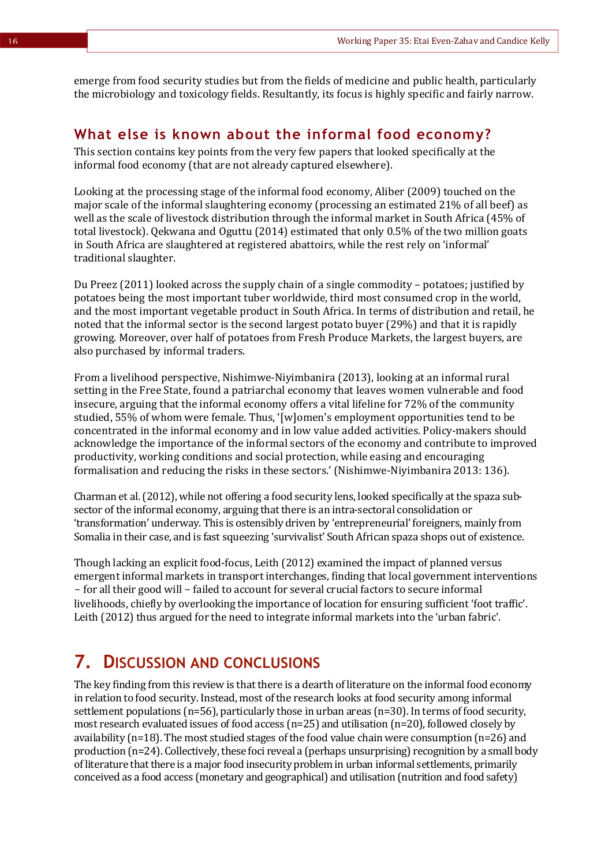emerge from food security studies but from the fields of medicine and public health, particularly the microbiology and toxicology fields. Resultantly, its focus is highly specific and fairly narrow.

#### **What else is known about the informal food economy?**

This section contains key points from the very few papers that looked specifically at the informal food economy (that are not already captured elsewhere).

Looking at the processing stage of the informal food economy, Aliber (2009) touched on the major scale of the informal slaughtering economy (processing an estimated 21% of all beef) as well as the scale of livestock distribution through the informal market in South Africa (45% of total livestock). Qekwana and Oguttu (2014) estimated that only 0.5% of the two million goats in South Africa are slaughtered at registered abattoirs, while the rest rely on 'informal' traditional slaughter.

Du Preez (2011) looked across the supply chain of a single commodity – potatoes; justified by potatoes being the most important tuber worldwide, third most consumed crop in the world, and the most important vegetable product in South Africa. In terms of distribution and retail, he noted that the informal sector is the second largest potato buyer (29%) and that it is rapidly growing. Moreover, over half of potatoes from Fresh Produce Markets, the largest buyers, are also purchased by informal traders.

From a livelihood perspective, Nishimwe-Niyimbanira (2013), looking at an informal rural setting in the Free State, found a patriarchal economy that leaves women vulnerable and food insecure, arguing that the informal economy offers a vital lifeline for 72% of the community studied, 55% of whom were female. Thus, '[w]omen's employment opportunities tend to be concentrated in the informal economy and in low value added activities. Policy-makers should acknowledge the importance of the informal sectors of the economy and contribute to improved productivity, working conditions and social protection, while easing and encouraging formalisation and reducing the risks in these sectors.' (Nishimwe-Niyimbanira 2013: 136).

Charman et al.(2012), while not offering a food security lens, looked specifically at the spaza subsector of the informal economy, arguing that there is an intra-sectoral consolidation or 'transformation' underway. This is ostensibly driven by 'entrepreneurial' foreigners, mainly from Somalia in their case, and is fast squeezing 'survivalist' South African spaza shops out of existence.

Though lacking an explicit food-focus, Leith (2012) examined the impact of planned versus emergent informal markets in transport interchanges, finding that local government interventions - for all their good will - failed to account for several crucial factors to secure informal livelihoods, chiefly by overlooking the importance of location for ensuring sufficient 'foot traffic'. Leith (2012) thus argued for the need to integrate informal markets into the 'urban fabric'.

## **7. DISCUSSION AND CONCLUSIONS**

The key finding from this review is that there is a dearth of literature on the informal food economy in relation to food security. Instead, most of the research looks at food security among informal settlement populations (n=56), particularly those in urban areas (n=30). In terms of food security, most research evaluated issues of food access (n=25) and utilisation (n=20), followed closely by availability (n=18). The most studied stages of the food value chain were consumption (n=26) and production (n=24). Collectively, these foci reveal a (perhaps unsurprising) recognition by a small body of literature that there is a major food insecurity problem in urban informal settlements, primarily conceived as a food access (monetary and geographical) and utilisation (nutrition and food safety)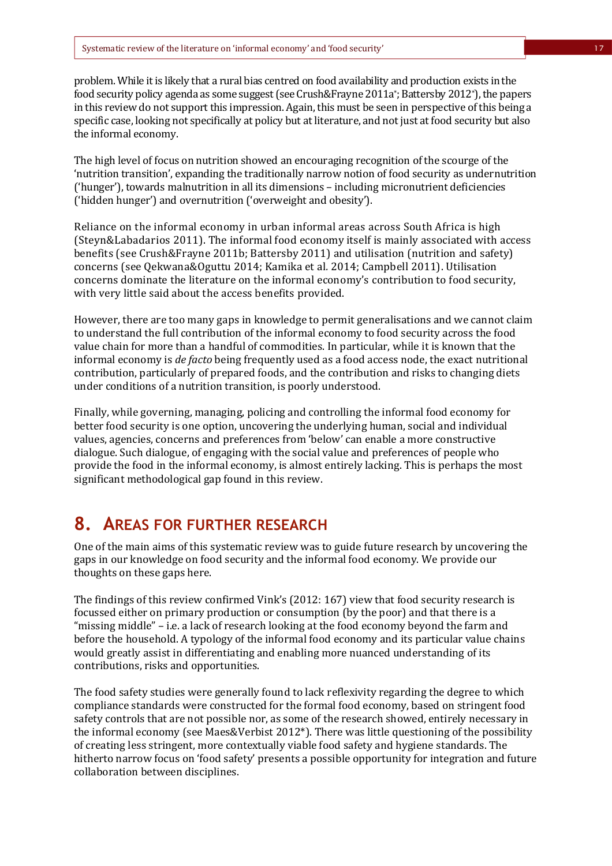problem. While it is likely that a rural bias centred on food availability and production exists in the food security policy agenda as some suggest (see Crush&Frayne 2011a\* ; Battersby 2012\*), the papers in this review do not support this impression. Again, this must be seen in perspective of this being a specific case, looking not specifically at policy but at literature, and not just at food security but also the informal economy.

The high level of focus on nutrition showed an encouraging recognition of the scourge of the 'nutrition transition', expanding the traditionally narrow notion of food security as undernutrition ('hunger'), towards malnutrition in all its dimensions – including micronutrient deficiencies ('hidden hunger') and overnutrition ('overweight and obesity').

Reliance on the informal economy in urban informal areas across South Africa is high (Steyn&Labadarios 2011). The informal food economy itself is mainly associated with access benefits (see Crush&Frayne 2011b; Battersby 2011) and utilisation (nutrition and safety) concerns (see Qekwana&Oguttu 2014; Kamika et al*.* 2014; Campbell 2011). Utilisation concerns dominate the literature on the informal economy's contribution to food security, with very little said about the access benefits provided.

However, there are too many gaps in knowledge to permit generalisations and we cannot claim to understand the full contribution of the informal economy to food security across the food value chain for more than a handful of commodities. In particular, while it is known that the informal economy is *de facto* being frequently used as a food access node, the exact nutritional contribution, particularly of prepared foods, and the contribution and risks to changing diets under conditions of a nutrition transition, is poorly understood.

Finally, while governing, managing, policing and controlling the informal food economy for better food security is one option, uncovering the underlying human, social and individual values, agencies, concerns and preferences from 'below' can enable a more constructive dialogue. Such dialogue, of engaging with the social value and preferences of people who provide the food in the informal economy, is almost entirely lacking. This is perhaps the most significant methodological gap found in this review.

### **8. AREAS FOR FURTHER RESEARCH**

One of the main aims of this systematic review was to guide future research by uncovering the gaps in our knowledge on food security and the informal food economy. We provide our thoughts on these gaps here.

The findings of this review confirmed Vink's (2012: 167) view that food security research is focussed either on primary production or consumption (by the poor) and that there is a "missing middle" – i.e. a lack of research looking at the food economy beyond the farm and before the household. A typology of the informal food economy and its particular value chains would greatly assist in differentiating and enabling more nuanced understanding of its contributions, risks and opportunities.

The food safety studies were generally found to lack reflexivity regarding the degree to which compliance standards were constructed for the formal food economy, based on stringent food safety controls that are not possible nor, as some of the research showed, entirely necessary in the informal economy (see Maes&Verbist 2012\*). There was little questioning of the possibility of creating less stringent, more contextually viable food safety and hygiene standards. The hitherto narrow focus on 'food safety' presents a possible opportunity for integration and future collaboration between disciplines.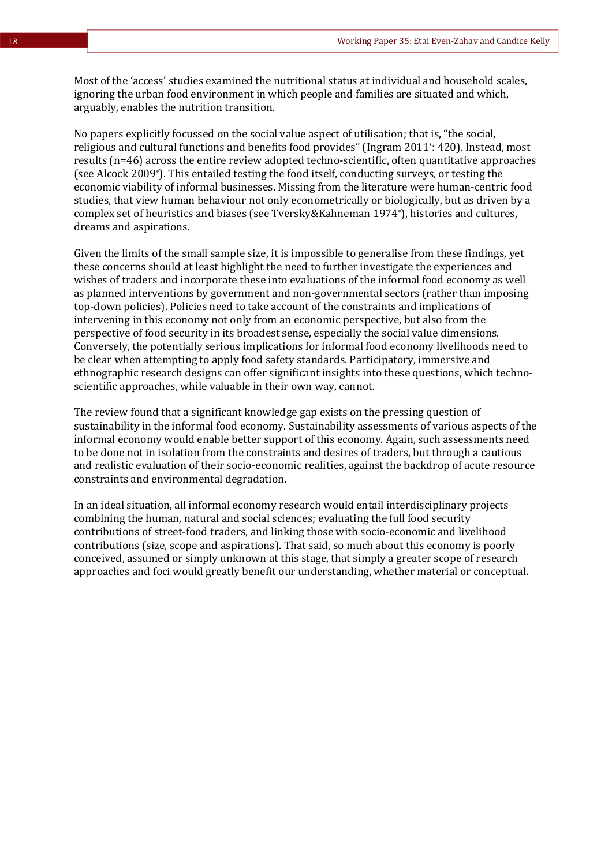Most of the 'access' studies examined the nutritional status at individual and household scales, ignoring the urban food environment in which people and families are situated and which, arguably, enables the nutrition transition.

No papers explicitly focussed on the social value aspect of utilisation; that is, "the social, religious and cultural functions and benefits food provides" (Ingram 2011\* : 420). Instead, most results (n=46) across the entire review adopted techno-scientific, often quantitative approaches (see Alcock 2009\*). This entailed testing the food itself, conducting surveys, or testing the economic viability of informal businesses. Missing from the literature were human-centric food studies, that view human behaviour not only econometrically or biologically, but as driven by a complex set of heuristics and biases (see Tversky&Kahneman 1974\*), histories and cultures, dreams and aspirations.

Given the limits of the small sample size, it is impossible to generalise from these findings, yet these concerns should at least highlight the need to further investigate the experiences and wishes of traders and incorporate these into evaluations of the informal food economy as well as planned interventions by government and non-governmental sectors (rather than imposing top-down policies). Policies need to take account of the constraints and implications of intervening in this economy not only from an economic perspective, but also from the perspective of food security in its broadest sense, especially the social value dimensions. Conversely, the potentially serious implications for informal food economy livelihoods need to be clear when attempting to apply food safety standards. Participatory, immersive and ethnographic research designs can offer significant insights into these questions, which technoscientific approaches, while valuable in their own way, cannot.

The review found that a significant knowledge gap exists on the pressing question of sustainability in the informal food economy. Sustainability assessments of various aspects of the informal economy would enable better support of this economy. Again, such assessments need to be done not in isolation from the constraints and desires of traders, but through a cautious and realistic evaluation of their socio-economic realities, against the backdrop of acute resource constraints and environmental degradation.

In an ideal situation, all informal economy research would entail interdisciplinary projects combining the human, natural and social sciences; evaluating the full food security contributions of street-food traders, and linking those with socio-economic and livelihood contributions (size, scope and aspirations). That said, so much about this economy is poorly conceived, assumed or simply unknown at this stage, that simply a greater scope of research approaches and foci would greatly benefit our understanding, whether material or conceptual.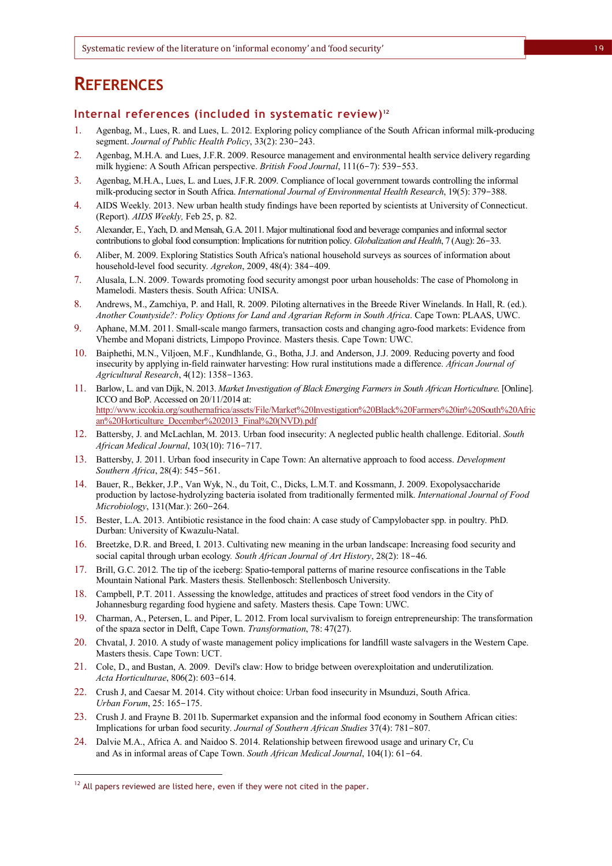### **REFERENCES**

#### **Internal references (included in systematic review)** 12

- 1. Agenbag, M., Lues, R. and Lues, L. 2012. Exploring policy compliance of the South African informal milk-producing segment. *Journal of Public Health Policy*, 33(2): 230-243.
- 2. Agenbag, M.H.A. and Lues, J.F.R. 2009. Resource management and environmental health service delivery regarding milk hygiene: A South African perspective. *British Food Journal*, 111(6-7): 539-553.
- 3. Agenbag, M.H.A., Lues, L. and Lues, J.F.R. 2009. Compliance of local government towards controlling the informal milk-producing sector in South Africa. *International Journal of Environmental Health Research*, 19(5): 379-388.
- 4. AIDS Weekly. 2013. New urban health study findings have been reported by scientists at University of Connecticut. (Report). *AIDS Weekly,* Feb 25, p. 82.
- 5. Alexander, E., Yach, D. and Mensah, G.A. 2011. Major multinational food and beverage companies and informal sector contributions to global food consumption: Implications for nutrition policy. *Globalization and Health*, 7 (Aug): 26-33.
- 6. Aliber, M. 2009. Exploring Statistics South Africa's national household surveys as sources of information about household-level food security. *Agrekon*, 2009, 48(4): 384-409.
- 7. Alusala, L.N. 2009. Towards promoting food security amongst poor urban households: The case of Phomolong in Mamelodi. Masters thesis. South Africa: UNISA.
- 8. Andrews, M., Zamchiya, P. and Hall, R. 2009. Piloting alternatives in the Breede River Winelands. In Hall, R. (ed.). *Another Countyside?: Policy Options for Land and Agrarian Reform in South Africa*. Cape Town: PLAAS, UWC.
- 9. Aphane, M.M. 2011. Small-scale mango farmers, transaction costs and changing agro-food markets: Evidence from Vhembe and Mopani districts, Limpopo Province. Masters thesis. Cape Town: UWC.
- 10. Baiphethi, M.N., Viljoen, M.F., Kundhlande, G., Botha, J.J. and Anderson, J.J. 2009. Reducing poverty and food insecurity by applying in-field rainwater harvesting: How rural institutions made a difference. *African Journal of Agricultural Research*, 4(12): 1358-1363.
- 11. Barlow, L. and van Dijk, N. 2013. *Market Investigation of Black Emerging Farmers in South African Horticulture*. [Online]. ICCO and BoP. Accessed on 20/11/2014 at: http://www.iccokia.org/southernafrica/assets/File/Market%20Investigation%20Black%20Farmers%20in%20South%20Afric an%20Horticulture\_December%202013\_Final%20(NVD).pdf
- 12. Battersby, J. and McLachlan, M. 2013. Urban food insecurity: A neglected public health challenge. Editorial. *South African Medical Journal*, 103(10): 716-717.
- 13. Battersby, J. 2011. Urban food insecurity in Cape Town: An alternative approach to food access. *Development Southern Africa*, 28(4): 545-561.
- 14. Bauer, R., Bekker, J.P., Van Wyk, N., du Toit, C., Dicks, L.M.T. and Kossmann, J. 2009. Exopolysaccharide production by lactose-hydrolyzing bacteria isolated from traditionally fermented milk. *International Journal of Food Microbiology*, 131(Mar.): 260-264.
- 15. Bester, L.A. 2013. Antibiotic resistance in the food chain: A case study of Campylobacter spp. in poultry. PhD. Durban: University of Kwazulu-Natal.
- 16. Breetzke, D.R. and Breed, I. 2013. Cultivating new meaning in the urban landscape: Increasing food security and social capital through urban ecology*. South African Journal of Art History*, 28(2): 18-46.
- 17. Brill, G.C. 2012. The tip of the iceberg: Spatio-temporal patterns of marine resource confiscations in the Table Mountain National Park. Masters thesis. Stellenbosch: Stellenbosch University.
- 18. Campbell, P.T. 2011. Assessing the knowledge, attitudes and practices of street food vendors in the City of Johannesburg regarding food hygiene and safety. Masters thesis. Cape Town: UWC.
- 19. Charman, A., Petersen, L. and Piper, L. 2012. From local survivalism to foreign entrepreneurship: The transformation of the spaza sector in Delft, Cape Town. *Transformation*, 78: 47(27).
- 20. Chvatal, J. 2010. A study of waste management policy implications for landfill waste salvagers in the Western Cape. Masters thesis. Cape Town: UCT.
- 21. Cole, D., and Bustan, A. 2009. Devil's claw: How to bridge between overexploitation and underutilization. *Acta Horticulturae*, 806(2): 603-614.
- 22. Crush J, and Caesar M. 2014. City without choice: Urban food insecurity in Msunduzi, South Africa. *Urban Forum*, 25: 165-175.
- 23. Crush J. and Frayne B. 2011b. Supermarket expansion and the informal food economy in Southern African cities: Implications for urban food security. *Journal of Southern African Studies* 37(4): 781-807.
- 24. Dalvie M.A., Africa A. and Naidoo S. 2014. Relationship between firewood usage and urinary Cr, Cu and As in informal areas of Cape Town. *South African Medical Journal*, 104(1): 61-64.

l

 $12$  All papers reviewed are listed here, even if they were not cited in the paper.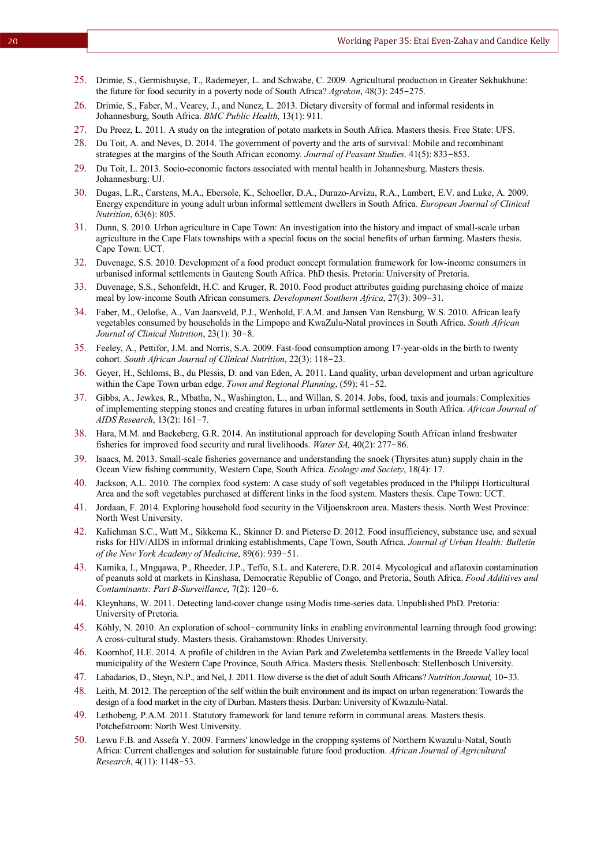- 25. Drimie, S., Germishuyse, T., Rademeyer, L. and Schwabe, C. 2009. Agricultural production in Greater Sekhukhune: the future for food security in a poverty node of South Africa? *Agrekon*, 48(3): 245-275.
- 26. Drimie, S., Faber, M., Vearey, J., and Nunez, L. 2013. Dietary diversity of formal and informal residents in Johannesburg, South Africa. *BMC Public Health*, 13(1): 911.
- 27. Du Preez, L. 2011. A study on the integration of potato markets in South Africa. Masters thesis. Free State: UFS.
- 28. Du Toit, A. and Neves, D. 2014. The government of poverty and the arts of survival: Mobile and recombinant strategies at the margins of the South African economy. *Journal of Peasant Studies,* 41(5): 833-853.
- 29. Du Toit, L. 2013. Socio-economic factors associated with mental health in Johannesburg. Masters thesis. Johannesburg: UJ.
- 30. Dugas, L.R., Carstens, M.A., Ebersole, K., Schoeller, D.A., Durazo-Arvizu, R.A., Lambert, E.V. and Luke, A. 2009. Energy expenditure in young adult urban informal settlement dwellers in South Africa. *European Journal of Clinical Nutrition*, 63(6): 805.
- 31. Dunn, S. 2010. Urban agriculture in Cape Town: An investigation into the history and impact of small-scale urban agriculture in the Cape Flats townships with a special focus on the social benefits of urban farming. Masters thesis. Cape Town: UCT.
- 32. Duvenage, S.S. 2010. Development of a food product concept formulation framework for low-income consumers in urbanised informal settlements in Gauteng South Africa. PhD thesis. Pretoria: University of Pretoria.
- 33. Duvenage, S.S., Schonfeldt, H.C. and Kruger, R. 2010. Food product attributes guiding purchasing choice of maize meal by low-income South African consumers*. Development Southern Africa*, 27(3): 309-31.
- 34. Faber, M., Oelofse, A., Van Jaarsveld, P.J., Wenhold, F.A.M. and Jansen Van Rensburg, W.S. 2010. African leafy vegetables consumed by households in the Limpopo and KwaZulu-Natal provinces in South Africa. *South African Journal of Clinical Nutrition*, 23(1): 30-8.
- 35. Feeley, A., Pettifor, J.M. and Norris, S.A. 2009. Fast-food consumption among 17-year-olds in the birth to twenty cohort. *South African Journal of Clinical Nutrition*, 22(3): 118-23.
- 36. Geyer, H., Schloms, B., du Plessis, D. and van Eden, A. 2011. Land quality, urban development and urban agriculture within the Cape Town urban edge. *Town and Regional Planning*, (59): 41-52.
- 37. Gibbs, A., Jewkes, R., Mbatha, N., Washington, L., and Willan, S. 2014. Jobs, food, taxis and journals: Complexities of implementing stepping stones and creating futures in urban informal settlements in South Africa. *African Journal of AIDS Research*, 13(2): 161-7.
- 38. Hara, M.M. and Backeberg, G.R. 2014. An institutional approach for developing South African inland freshwater fisheries for improved food security and rural livelihoods. *Water SA,* 40(2): 277-86.
- 39. Isaacs, M. 2013. Small-scale fisheries governance and understanding the snoek (Thyrsites atun) supply chain in the Ocean View fishing community, Western Cape, South Africa. *Ecology and Society*, 18(4): 17.
- 40. Jackson, A.L. 2010. The complex food system: A case study of soft vegetables produced in the Philippi Horticultural Area and the soft vegetables purchased at different links in the food system. Masters thesis. Cape Town: UCT.
- 41. Jordaan, F. 2014. Exploring household food security in the Viljoenskroon area. Masters thesis. North West Province: North West University.
- 42. Kalichman S.C., Watt M., Sikkema K., Skinner D. and Pieterse D. 2012. Food insufficiency, substance use, and sexual risks for HIV/AIDS in informal drinking establishments, Cape Town, South Africa. *Journal of Urban Health: Bulletin of the New York Academy of Medicine*, 89(6): 939-51.
- 43. Kamika, I., Mngqawa, P., Rheeder, J.P., Teffo, S.L. and Katerere, D.R. 2014. Mycological and aflatoxin contamination of peanuts sold at markets in Kinshasa, Democratic Republic of Congo, and Pretoria, South Africa. *Food Additives and Contaminants: Part B-Surveillance*, 7(2): 120-6.
- 44. Kleynhans, W. 2011. Detecting land-cover change using Modis time-series data. Unpublished PhD. Pretoria: University of Pretoria.
- 45. Köhly, N. 2010. An exploration of school-community links in enabling environmental learning through food growing: A cross-cultural study. Masters thesis. Grahamstown: Rhodes University.
- 46. Koornhof, H.E. 2014. A profile of children in the Avian Park and Zweletemba settlements in the Breede Valley local municipality of the Western Cape Province, South Africa. Masters thesis. Stellenbosch: Stellenbosch University.
- 47. Labadarios, D., Steyn, N.P., and Nel, J. 2011. How diverse is the diet of adult South Africans? *Nutrition Journal,* 10-33.
- 48. Leith, M. 2012. The perception of the self within the built environment and itsimpact on urban regeneration: Towards the design of a food market in the city of Durban. Masters thesis. Durban: University of Kwazulu-Natal.
- 49. Lethobeng, P.A.M. 2011. Statutory framework for land tenure reform in communal areas. Masters thesis. Potchefstroom: North West University.
- 50. Lewu F.B. and Assefa Y. 2009. Farmers' knowledge in the cropping systems of Northern Kwazulu-Natal, South Africa: Current challenges and solution for sustainable future food production. *African Journal of Agricultural Research*, 4(11): 1148-53.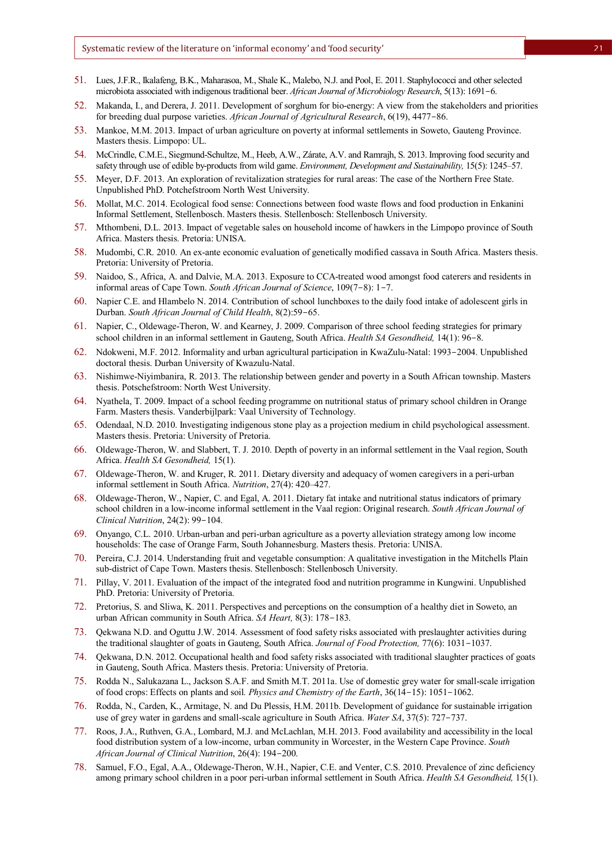- 51. Lues, J.F.R., Ikalafeng, B.K., Maharasoa, M., Shale K., Malebo, N.J. and Pool, E. 2011. Staphylococci and other selected microbiota associated with indigenous traditional beer. *African Journal of Microbiology Research*, 5(13): 1691-6.
- 52. Makanda, I., and Derera, J. 2011. Development of sorghum for bio-energy: A view from the stakeholders and priorities for breeding dual purpose varieties. *African Journal of Agricultural Research*, 6(19), 4477-86.
- 53. Mankoe, M.M. 2013. Impact of urban agriculture on poverty at informal settlements in Soweto, Gauteng Province. Masters thesis. Limpopo: UL.
- 54. McCrindle, C.M.E., Siegmund-Schultze, M., Heeb, A.W., Zárate, A.V. and Ramrajh, S. 2013. Improving food security and safety through use of edible by-products from wild game. *Environment, Development and Sustainability,* 15(5): 1245–57.
- 55. Meyer, D.F. 2013. An exploration of revitalization strategies for rural areas: The case of the Northern Free State. Unpublished PhD. Potchefstroom North West University.
- 56. Mollat, M.C. 2014. Ecological food sense: Connections between food waste flows and food production in Enkanini Informal Settlement, Stellenbosch. Masters thesis. Stellenbosch: Stellenbosch University.
- 57. Mthombeni, D.L. 2013. Impact of vegetable sales on household income of hawkers in the Limpopo province of South Africa. Masters thesis. Pretoria: UNISA.
- 58. Mudombi, C.R. 2010. An ex-ante economic evaluation of genetically modified cassava in South Africa. Masters thesis. Pretoria: University of Pretoria.
- 59. Naidoo, S., Africa, A. and Dalvie, M.A. 2013. Exposure to CCA-treated wood amongst food caterers and residents in informal areas of Cape Town. *South African Journal of Science*, 109(7-8): 1-7.
- 60. Napier C.E. and Hlambelo N. 2014. Contribution of school lunchboxes to the daily food intake of adolescent girls in Durban. *South African Journal of Child Health*, 8(2):59-65.
- 61. Napier, C., Oldewage-Theron, W. and Kearney, J. 2009. Comparison of three school feeding strategies for primary school children in an informal settlement in Gauteng, South Africa. *Health SA Gesondheid,* 14(1): 96-8.
- 62. Ndokweni, M.F. 2012. Informality and urban agricultural participation in KwaZulu-Natal: 1993-2004. Unpublished doctoral thesis. Durban University of Kwazulu-Natal.
- 63. Nishimwe-Niyimbanira, R. 2013. The relationship between gender and poverty in a South African township. Masters thesis. Potschefstroom: North West University.
- 64. Nyathela, T. 2009. Impact of a school feeding programme on nutritional status of primary school children in Orange Farm. Masters thesis. Vanderbijlpark: Vaal University of Technology.
- 65. Odendaal, N.D. 2010. Investigating indigenous stone play as a projection medium in child psychological assessment. Masters thesis. Pretoria: University of Pretoria.
- 66. Oldewage-Theron, W. and Slabbert, T. J. 2010. Depth of poverty in an informal settlement in the Vaal region, South Africa. *Health SA Gesondheid,* 15(1).
- 67. Oldewage-Theron, W. and Kruger, R. 2011. Dietary diversity and adequacy of women caregivers in a peri-urban informal settlement in South Africa. *Nutrition*, 27(4): 420–427.
- 68. Oldewage-Theron, W., Napier, C. and Egal, A. 2011. Dietary fat intake and nutritional status indicators of primary school children in a low-income informal settlement in the Vaal region: Original research. *South African Journal of Clinical Nutrition*, 24(2): 99-104.
- 69. Onyango, C.L. 2010. Urban-urban and peri-urban agriculture as a poverty alleviation strategy among low income households: The case of Orange Farm, South Johannesburg. Masters thesis. Pretoria: UNISA.
- 70. Pereira, C.J. 2014. Understanding fruit and vegetable consumption: A qualitative investigation in the Mitchells Plain sub-district of Cape Town. Masters thesis. Stellenbosch: Stellenbosch University.
- 71. Pillay, V. 2011. Evaluation of the impact of the integrated food and nutrition programme in Kungwini. Unpublished PhD. Pretoria: University of Pretoria.
- 72. Pretorius, S. and Sliwa, K. 2011. Perspectives and perceptions on the consumption of a healthy diet in Soweto, an urban African community in South Africa. *SA Heart,* 8(3): 178-183.
- 73. Qekwana N.D. and Oguttu J.W. 2014. Assessment of food safety risks associated with preslaughter activities during the traditional slaughter of goats in Gauteng, South Africa. *Journal of Food Protection,* 77(6): 1031-1037.
- 74. Qekwana, D.N. 2012. Occupational health and food safety risks associated with traditional slaughter practices of goats in Gauteng, South Africa. Masters thesis. Pretoria: University of Pretoria.
- 75. Rodda N., Salukazana L., Jackson S.A.F. and Smith M.T. 2011a. Use of domestic grey water for small-scale irrigation of food crops: Effects on plants and soil*. Physics and Chemistry of the Earth*, 36(14-15): 1051-1062.
- 76. Rodda, N., Carden, K., Armitage, N. and Du Plessis, H.M. 2011b. Development of guidance for sustainable irrigation use of grey water in gardens and small-scale agriculture in South Africa. *Water SA*, 37(5): 727-737.
- 77. Roos, J.A., Ruthven, G.A., Lombard, M.J. and McLachlan, M.H. 2013. Food availability and accessibility in the local food distribution system of a low-income, urban community in Worcester, in the Western Cape Province. *South African Journal of Clinical Nutrition*, 26(4): 194-200.
- 78. Samuel, F.O., Egal, A.A., Oldewage-Theron, W.H., Napier, C.E. and Venter, C.S. 2010. Prevalence of zinc deficiency among primary school children in a poor peri-urban informal settlement in South Africa. *Health SA Gesondheid,* 15(1).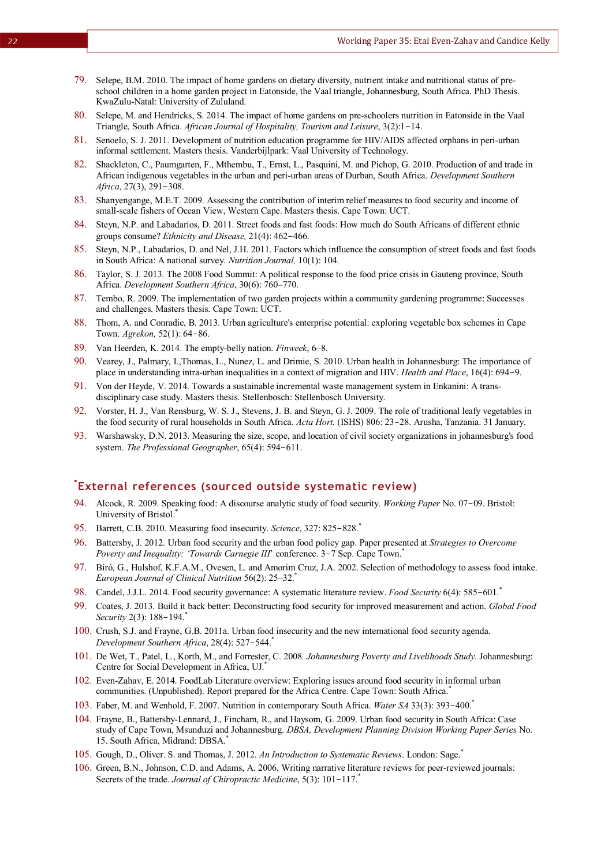- 79. Selepe, B.M. 2010. The impact of home gardens on dietary diversity, nutrient intake and nutritional status of preschool children in a home garden project in Eatonside, the Vaal triangle, Johannesburg, South Africa. PhD Thesis. KwaZulu-Natal: University of Zululand.
- 80. Selepe, M. and Hendricks, S. 2014. The impact of home gardens on pre-schoolers nutrition in Eatonside in the Vaal Triangle, South Africa. *African Journal of Hospitality, Tourism and Leisure*, 3(2):1-14.
- 81. Senoelo, S. J. 2011. Development of nutrition education programme for HIV/AIDS affected orphans in peri-urban informal settlement. Masters thesis. Vanderbijlpark: Vaal University of Technology.
- 82. Shackleton, C., Paumgarten, F., Mthembu, T., Ernst, L., Pasquini, M. and Pichop, G. 2010. Production of and trade in African indigenous vegetables in the urban and peri-urban areas of Durban, South Africa. *Development Southern Africa*, 27(3), 291-308.
- 83. Shanyengange, M.E.T. 2009. Assessing the contribution of interim relief measures to food security and income of small-scale fishers of Ocean View, Western Cape. Masters thesis. Cape Town: UCT.
- 84. Steyn, N.P. and Labadarios, D. 2011. Street foods and fast foods: How much do South Africans of different ethnic groups consume? *Ethnicity and Disease,* 21(4): 462-466.
- 85. Steyn, N.P., Labadarios, D. and Nel, J.H. 2011. Factors which influence the consumption of street foods and fast foods in South Africa: A national survey. *Nutrition Journal,* 10(1): 104.
- 86. Taylor, S. J. 2013. The 2008 Food Summit: A political response to the food price crisis in Gauteng province, South Africa. *Development Southern Africa*, 30(6): 760–770.
- 87. Tembo, R. 2009. The implementation of two garden projects within a community gardening programme: Successes and challenges. Masters thesis. Cape Town: UCT.
- 88. Thom, A. and Conradie, B. 2013. Urban agriculture's enterprise potential: exploring vegetable box schemes in Cape Town. *Agrekon,* 52(1): 64-86.
- 89. Van Heerden, K. 2014. The empty-belly nation. *Finweek*, 6–8.
- 90. Vearey, J., Palmary, I.,Thomas, L., Nunez, L. and Drimie, S. 2010. Urban health in Johannesburg: The importance of place in understanding intra-urban inequalities in a context of migration and HIV. *Health and Place*, 16(4): 694-9.
- 91. Von der Heyde, V. 2014. Towards a sustainable incremental waste management system in Enkanini: A transdisciplinary case study. Masters thesis. Stellenbosch: Stellenbosch University.
- 92. Vorster, H. J., Van Rensburg, W. S. J., Stevens, J. B. and Steyn, G. J. 2009. The role of traditional leafy vegetables in the food security of rural households in South Africa. *Acta Hort.* (ISHS) 806: 23-28. Arusha, Tanzania. 31 January.
- 93. Warshawsky, D.N. 2013. Measuring the size, scope, and location of civil society organizations in johannesburg's food system. *The Professional Geographer*, 65(4): 594-611.

#### **\* External references (sourced outside systematic review)**

- 94. Alcock, R. 2009. Speaking food: A discourse analytic study of food security. *Working Paper* No. 07-09. Bristol: University of Bristol.<sup>\*</sup>
- 95. Barrett, C.B. 2010. Measuring food insecurity. *Science*, 327: 825-828.\*
- 96. Battersby, J. 2012. Urban food security and the urban food policy gap. Paper presented at *Strategies to Overcome Poverty and Inequality: 'Towards Carnegie III'* conference. 3-7 Sep. Cape Town.<sup>\*</sup>
- 97. Biró, G., Hulshof, K.F.A.M., Ovesen, L. and Amorim Cruz, J.A. 2002. Selection of methodology to assess food intake. *European Journal of Clinical Nutrition* 56(2): 25–32.\*
- 98. Candel, J.J.L. 2014. Food security governance: A systematic literature review. *Food Security* 6(4): 585-601.\*
- 99. Coates, J. 2013. Build it back better: Deconstructing food security for improved measurement and action. *Global Food Security* 2(3): 188-194.\*
- 100. Crush, S.J. and Frayne, G.B. 2011a. Urban food insecurity and the new international food security agenda. *Development Southern Africa*, 28(4): 527-544.\*
- 101. De Wet, T., Patel, L., Korth, M., and Forrester, C. 2008*. Johannesburg Poverty and Livelihoods Study*. Johannesburg: Centre for Social Development in Africa, UJ. \*
- 102. Even-Zahav, E. 2014. FoodLab Literature overview: Exploring issues around food security in informal urban communities. (Unpublished). Report prepared for the Africa Centre. Cape Town: South Africa.<sup>\*</sup>
- 103. Faber, M. and Wenhold, F. 2007. Nutrition in contemporary South Africa. *Water SA* 33(3): 393-400.\*
- 104. Frayne, B., Battersby-Lennard, J., Fincham, R., and Haysom, G. 2009. Urban food security in South Africa: Case study of Cape Town, Msunduzi and Johannesburg. *DBSA, Development Planning Division Working Paper Series* No. 15. South Africa, Midrand: DBSA.\*
- 105. Gough, D., Oliver. S. and Thomas, J. 2012. *An Introduction to Systematic Reviews*. London: Sage.\*
- 106. Green, B.N., Johnson, C.D. and Adams, A. 2006. Writing narrative literature reviews for peer-reviewed journals: Secrets of the trade. *Journal of Chiropractic Medicine*, 5(3): 101-117.\*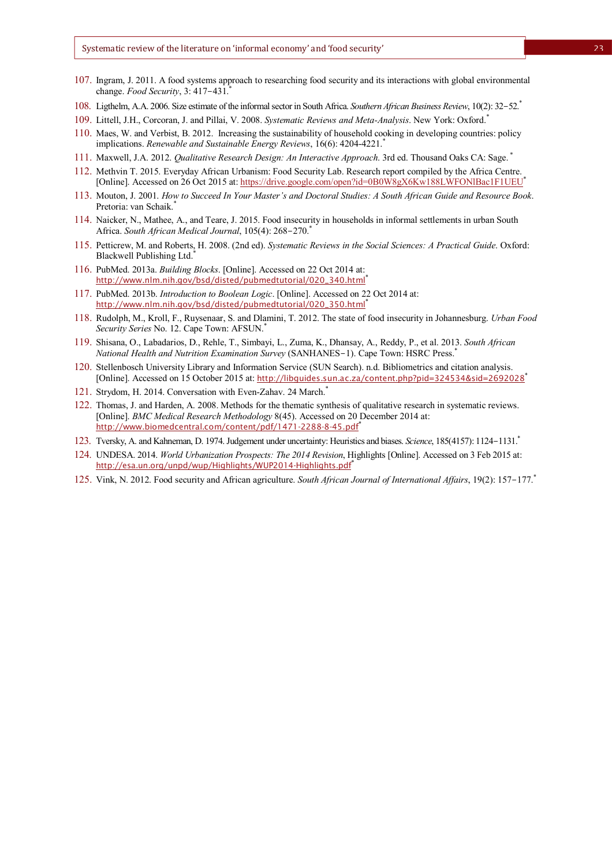- 107. Ingram, J. 2011. A food systems approach to researching food security and its interactions with global environmental change. *Food Security*, 3: 417-431.\*
- 108. Ligthelm, A.A. 2006. Size estimate of the informal sector in South Africa. *Southern African Business Review*, 10(2): 32-52.\*
- 109. Littell, J.H., Corcoran, J. and Pillai, V. 2008. *Systematic Reviews and Meta-Analysis*. New York: Oxford.\*
- 110. Maes, W. and Verbist, B. 2012. Increasing the sustainability of household cooking in developing countries: policy implications. *Renewable and Sustainable Energy Reviews*, 16(6): 4204-4221.\*
- 111. Maxwell, J.A. 2012. *Qualitative Research Design: An Interactive Approach*. 3rd ed. Thousand Oaks CA: Sage. \*
- 112. Methvin T. 2015. Everyday African Urbanism: Food Security Lab. Research report compiled by the Africa Centre. [Online]. Accessed on 26 Oct 2015 at: https://drive.google.com/open?id=0B0W8gX6Kw188LWFONlBac1F1UEU\*
- 113. Mouton, J. 2001. *How to Succeed In Your Master's and Doctoral Studies: A South African Guide and Resource Book*. Pretoria: van Schaik.\*
- 114. Naicker, N., Mathee, A., and Teare, J. 2015. Food insecurity in households in informal settlements in urban South Africa. *South African Medical Journal*, 105(4): 268-270.\*
- 115. Petticrew, M. and Roberts, H. 2008. (2nd ed). *Systematic Reviews in the Social Sciences: A Practical Guide*. Oxford: Blackwell Publishing Ltd.<sup>\*</sup>
- 116. PubMed. 2013a. *Building Blocks*. [Online]. Accessed on 22 Oct 2014 at: http://www.nlm.nih.gov/bsd/disted/pubmedtutorial/020\_340.html\*
- 117. PubMed. 2013b. *Introduction to Boolean Logic*. [Online]. Accessed on 22 Oct 2014 at: http://www.nlm.nih.gov/bsd/disted/pubmedtutorial/020\_350.html\*
- 118. Rudolph, M., Kroll, F., Ruysenaar, S. and Dlamini, T. 2012. The state of food insecurity in Johannesburg. *Urban Food Security Series* No. 12. Cape Town: AFSUN.\*
- 119. Shisana, O., Labadarios, D., Rehle, T., Simbayi, L., Zuma, K., Dhansay, A., Reddy, P., et al. 2013. *South African National Health and Nutrition Examination Survey* (SANHANES-1). Cape Town: HSRC Press.\*
- 120. Stellenbosch University Library and Information Service (SUN Search). n.d. Bibliometrics and citation analysis. [Online]. Accessed on 15 October 2015 at: http://libguides.sun.ac.za/content.php?pid=324534&sid=2692028\*
- 121. Strydom, H. 2014. Conversation with Even-Zahav. 24 March.\*
- 122. Thomas, J. and Harden, A. 2008. Methods for the thematic synthesis of qualitative research in systematic reviews. [Online]. *BMC Medical Research Methodology* 8(45). Accessed on 20 December 2014 at: http://www.biomedcentral.com/content/pdf/1471-2288-8-45.pdf\*
- 123. Tversky, A. and Kahneman, D. 1974. Judgement under uncertainty: Heuristics and biases. *Science*, 185(4157): 1124-1131.\*
- 124. UNDESA. 2014. *World Urbanization Prospects: The 2014 Revision*, Highlights [Online]. Accessed on 3 Feb 2015 at: http://esa.un.org/unpd/wup/Highlights/WUP2014-Highlights.pdf\*
- 125. Vink, N. 2012. Food security and African agriculture. *South African Journal of International Affairs*, 19(2): 157-177.\*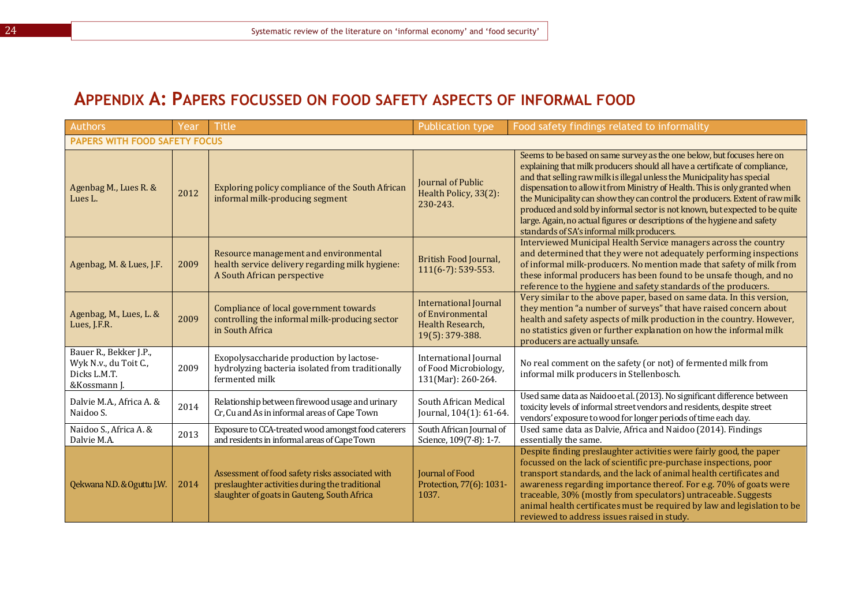## **APPENDIX A: PAPERS FOCUSSED ON FOOD SAFETY ASPECTS OF INFORMAL FOOD**

| Authors                                                                         | Year | <b>Title</b>                                                                                                                                     | <b>Publication type</b>                                                                 | Food safety findings related to informality                                                                                                                                                                                                                                                                                                                                                                                                                                                                                                                                                                |  |  |  |
|---------------------------------------------------------------------------------|------|--------------------------------------------------------------------------------------------------------------------------------------------------|-----------------------------------------------------------------------------------------|------------------------------------------------------------------------------------------------------------------------------------------------------------------------------------------------------------------------------------------------------------------------------------------------------------------------------------------------------------------------------------------------------------------------------------------------------------------------------------------------------------------------------------------------------------------------------------------------------------|--|--|--|
| <b>PAPERS WITH FOOD SAFETY FOCUS</b>                                            |      |                                                                                                                                                  |                                                                                         |                                                                                                                                                                                                                                                                                                                                                                                                                                                                                                                                                                                                            |  |  |  |
| Agenbag M., Lues R. &<br>Lues L.                                                | 2012 | Exploring policy compliance of the South African<br>informal milk-producing segment                                                              | Journal of Public<br>Health Policy, 33(2):<br>230-243.                                  | Seems to be based on same survey as the one below, but focuses here on<br>explaining that milk producers should all have a certificate of compliance,<br>and that selling raw milk is illegal unless the Municipality has special<br>dispensation to allow it from Ministry of Health. This is only granted when<br>the Municipality can show they can control the producers. Extent of raw milk<br>produced and sold by informal sector is not known, but expected to be quite<br>large. Again, no actual figures or descriptions of the hygiene and safety<br>standards of SA's informal milk producers. |  |  |  |
| Agenbag, M. & Lues, J.F.                                                        | 2009 | Resource management and environmental<br>health service delivery regarding milk hygiene:<br>A South African perspective                          | <b>British Food Journal,</b><br>111(6-7): 539-553.                                      | Interviewed Municipal Health Service managers across the country<br>and determined that they were not adequately performing inspections<br>of informal milk-producers. No mention made that safety of milk from<br>these informal producers has been found to be unsafe though, and no<br>reference to the hygiene and safety standards of the producers.                                                                                                                                                                                                                                                  |  |  |  |
| Agenbag, M., Lues, L. &<br>Lues, J.F.R.                                         | 2009 | Compliance of local government towards<br>controlling the informal milk-producing sector<br>in South Africa                                      | <b>International Journal</b><br>of Environmental<br>Health Research,<br>19(5): 379-388. | Very similar to the above paper, based on same data. In this version,<br>they mention "a number of surveys" that have raised concern about<br>health and safety aspects of milk production in the country. However,<br>no statistics given or further explanation on how the informal milk<br>producers are actually unsafe.                                                                                                                                                                                                                                                                               |  |  |  |
| Bauer R., Bekker J.P.,<br>Wyk N.v., du Toit C.,<br>Dicks L.M.T.<br>&Kossmann J. | 2009 | Exopolysaccharide production by lactose-<br>hydrolyzing bacteria isolated from traditionally<br>fermented milk                                   | <b>International Journal</b><br>of Food Microbiology,<br>131(Mar): 260-264.             | No real comment on the safety (or not) of fermented milk from<br>informal milk producers in Stellenbosch.                                                                                                                                                                                                                                                                                                                                                                                                                                                                                                  |  |  |  |
| Dalvie M.A., Africa A. &<br>Naidoo S.                                           | 2014 | Relationship between firewood usage and urinary<br>Cr, Cu and As in informal areas of Cape Town                                                  | South African Medical<br>Journal, 104(1): 61-64.                                        | Used same data as Naidoo et al. (2013). No significant difference between<br>toxicity levels of informal street vendors and residents, despite street<br>vendors' exposure to wood for longer periods of time each day.                                                                                                                                                                                                                                                                                                                                                                                    |  |  |  |
| Naidoo S., Africa A. &<br>Dalvie M.A.                                           | 2013 | Exposure to CCA-treated wood amongst food caterers<br>and residents in informal areas of Cape Town                                               | South African Journal of<br>Science, 109(7-8): 1-7.                                     | Used same data as Dalvie, Africa and Naidoo (2014). Findings<br>essentially the same.                                                                                                                                                                                                                                                                                                                                                                                                                                                                                                                      |  |  |  |
| Qekwana N.D. & Oguttu J.W.                                                      | 2014 | Assessment of food safety risks associated with<br>preslaughter activities during the traditional<br>slaughter of goats in Gauteng, South Africa | Journal of Food<br>Protection, 77(6): 1031-<br>1037.                                    | Despite finding preslaughter activities were fairly good, the paper<br>focussed on the lack of scientific pre-purchase inspections, poor<br>transport standards, and the lack of animal health certificates and<br>awareness regarding importance thereof. For e.g. 70% of goats were<br>traceable, 30% (mostly from speculators) untraceable. Suggests<br>animal health certificates must be required by law and legislation to be<br>reviewed to address issues raised in study.                                                                                                                         |  |  |  |